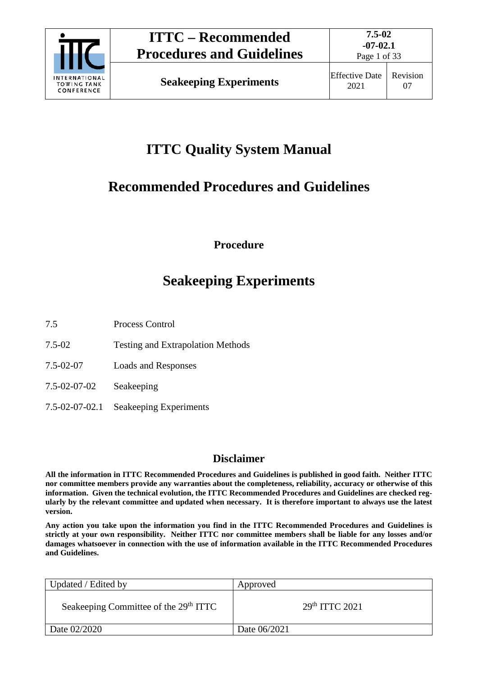

Page 1 of 33

# **ITTC Quality System Manual**

# **Recommended Procedures and Guidelines**

**Procedure**

# **Seakeeping Experiments**

7.5 Process Control

- 7.5-02 Testing and Extrapolation Methods
- 7.5-02-07 Loads and Responses
- 7.5-02-07-02 Seakeeping
- 7.5-02-07-02.1 Seakeeping Experiments

## **Disclaimer**

**All the information in ITTC Recommended Procedures and Guidelines is published in good faith. Neither ITTC nor committee members provide any warranties about the completeness, reliability, accuracy or otherwise of this information. Given the technical evolution, the ITTC Recommended Procedures and Guidelines are checked regularly by the relevant committee and updated when necessary. It is therefore important to always use the latest version.**

**Any action you take upon the information you find in the ITTC Recommended Procedures and Guidelines is strictly at your own responsibility. Neither ITTC nor committee members shall be liable for any losses and/or damages whatsoever in connection with the use of information available in the ITTC Recommended Procedures and Guidelines.**

| Updated / Edited by                               | Approved                   |
|---------------------------------------------------|----------------------------|
| Seakeeping Committee of the 29 <sup>th</sup> ITTC | 29 <sup>th</sup> TTTC 2021 |
| Date 02/2020                                      | Date 06/2021               |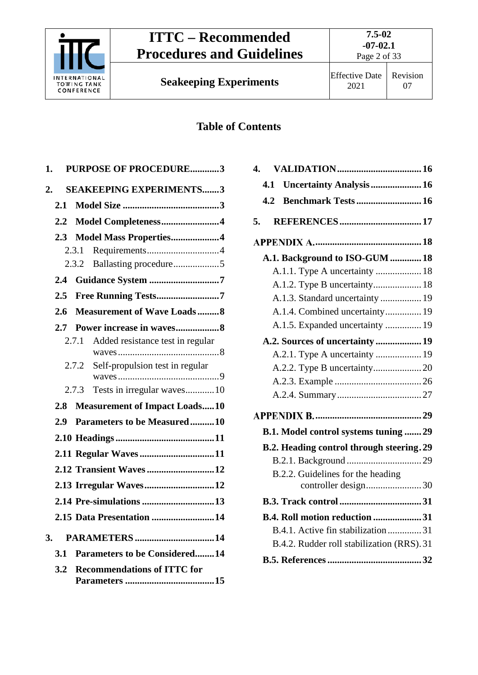

**Seakeeping Experiments** Effective Date

## **Table of Contents**

| <b>PURPOSE OF PROCEDURE3</b><br>1.          |
|---------------------------------------------|
| <b>SEAKEEPING EXPERIMENTS3</b><br>2.        |
| 2.1                                         |
| $2.2^{\circ}$<br>Model Completeness4        |
| Model Mass Properties4<br>2.3               |
| Requirements4<br>2.3.1                      |
| 2.3.2                                       |
| Guidance System 7<br>2.4                    |
| Free Running Tests7<br>2.5                  |
| <b>Measurement of Wave Loads8</b><br>2.6    |
| Power increase in waves8<br>2.7             |
| 2.7.1 Added resistance test in regular      |
| Self-propulsion test in regular<br>2.7.2    |
| 2.7.3 Tests in irregular waves10            |
| <b>Measurement of Impact Loads10</b><br>2.8 |
| Parameters to be Measured10<br>2.9          |
|                                             |
| 2.11 Regular Waves11                        |
| 2.12 Transient Waves 12                     |
| 2.13 Irregular Waves12                      |
| 2.14 Pre-simulations 13                     |
| 2.15 Data Presentation 14                   |
| 3.<br><b>PARAMETERS14</b>                   |
| <b>Parameters to be Considered14</b><br>3.1 |
| <b>Recommendations of ITTC for</b><br>3.2   |

| $\overline{\mathbf{4}}$ . |                                            |  |
|---------------------------|--------------------------------------------|--|
| 4.1                       | <b>Uncertainty Analysis  16</b>            |  |
| 4.2                       | <b>Benchmark Tests  16</b>                 |  |
| 5.                        | <b>REFERENCES 17</b>                       |  |
|                           |                                            |  |
|                           | A.1. Background to ISO-GUM 18              |  |
|                           | A.1.1. Type A uncertainty  18              |  |
|                           |                                            |  |
|                           | A.1.3. Standard uncertainty  19            |  |
|                           | A.1.4. Combined uncertainty 19             |  |
|                           | A.1.5. Expanded uncertainty  19            |  |
|                           | A.2. Sources of uncertainty  19            |  |
|                           | A.2.1. Type A uncertainty  19              |  |
|                           |                                            |  |
|                           |                                            |  |
|                           |                                            |  |
|                           |                                            |  |
|                           | B.1. Model control systems tuning  29      |  |
|                           | B.2. Heading control through steering. 29  |  |
|                           |                                            |  |
|                           | B.2.2. Guidelines for the heading          |  |
|                           |                                            |  |
|                           | B.4. Roll motion reduction  31             |  |
|                           | B.4.1. Active fin stabilization 31         |  |
|                           | B.4.2. Rudder roll stabilization (RRS). 31 |  |
|                           |                                            |  |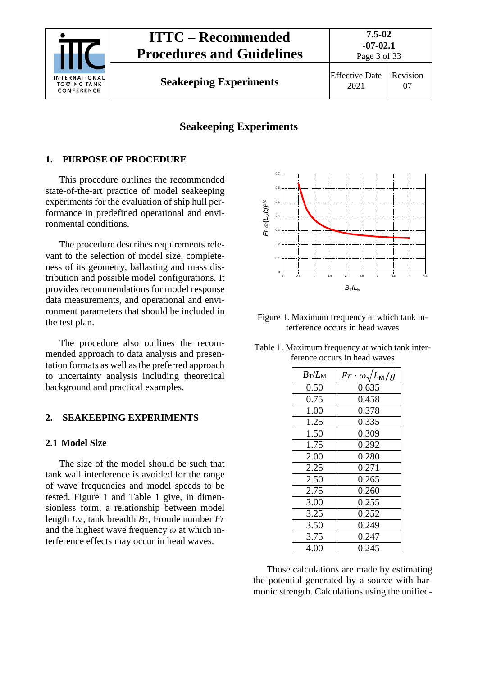

**Seakeeping Experiments** Effective Date

## **Seakeeping Experiments**

## <span id="page-2-0"></span>**1. PURPOSE OF PROCEDURE**

This procedure outlines the recommended state-of-the-art practice of model seakeeping experiments for the evaluation of ship hull performance in predefined operational and environmental conditions.

The procedure describes requirements relevant to the selection of model size, completeness of its geometry, ballasting and mass distribution and possible model configurations. It provides recommendations for model response data measurements, and operational and environment parameters that should be included in the test plan.

The procedure also outlines the recommended approach to data analysis and presentation formats as well as the preferred approach to uncertainty analysis including theoretical background and practical examples.

### <span id="page-2-2"></span><span id="page-2-1"></span>**2. SEAKEEPING EXPERIMENTS**

### **2.1 Model Size**

The size of the model should be such that tank wall interference is avoided for the range of wave frequencies and model speeds to be tested. [Figure 1](#page-2-3) and [Table 1](#page-2-4) give, in dimensionless form, a relationship between model length  $L_M$ , tank breadth  $B_T$ , Froude number  $Fr$ and the highest wave frequency *ω* at which interference effects may occur in head waves.



- <span id="page-2-3"></span>Figure 1. Maximum frequency at which tank interference occurs in head waves
- <span id="page-2-4"></span>Table 1. Maximum frequency at which tank interference occurs in head waves

| $B_{\rm T}/L_{\rm M}$ | $Fr \cdot \omega \sqrt{L_M/g}$ |
|-----------------------|--------------------------------|
| 0.50                  | 0.635                          |
| 0.75                  | 0.458                          |
| 1.00                  | 0.378                          |
| 1.25                  | 0.335                          |
| 1.50                  | 0.309                          |
| 1.75                  | 0.292                          |
| 2.00                  | 0.280                          |
| 2.25                  | 0.271                          |
| 2.50                  | 0.265                          |
| 2.75                  | 0.260                          |
| 3.00                  | 0.255                          |
| 3.25                  | 0.252                          |
| 3.50                  | 0.249                          |
| 3.75                  | 0.247                          |
| 4.00                  | 0.245                          |

Those calculations are made by estimating the potential generated by a source with harmonic strength. Calculations using the unified-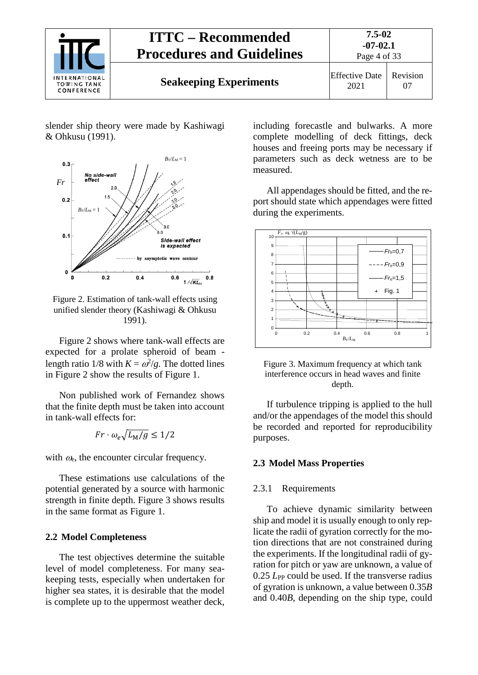

slender ship theory were made by Kashiwagi & Ohkusu (1991).



<span id="page-3-3"></span>Figure 2. Estimation of tank-wall effects using unified slender theory (Kashiwagi & Ohkusu 1991).

[Figure 2](#page-3-3) shows where tank-wall effects are expected for a prolate spheroid of beam length ratio 1/8 with  $K = \omega^2/g$ . The dotted lines in [Figure 2](#page-3-3) show the results of [Figure 1.](#page-2-3)

Non published work of Fernandez shows that the finite depth must be taken into account in tank-wall effects for:

$$
Fr \cdot \omega_e \sqrt{L_M/g} \le 1/2
$$

with  $\omega_e$ , the encounter circular frequency.

These estimations use calculations of the potential generated by a source with harmonic strength in finite depth. [Figure 3](#page-3-4) shows results in the same format as Figure 1.

### <span id="page-3-0"></span>**2.2 Model Completeness**

The test objectives determine the suitable level of model completeness. For many seakeeping tests, especially when undertaken for higher sea states, it is desirable that the model is complete up to the uppermost weather deck,

including forecastle and bulwarks. A more complete modelling of deck fittings, deck houses and freeing ports may be necessary if parameters such as deck wetness are to be measured.

All appendages should be fitted, and the report should state which appendages were fitted during the experiments.



<span id="page-3-4"></span>Figure 3. Maximum frequency at which tank interference occurs in head waves and finite depth.

If turbulence tripping is applied to the hull and/or the appendages of the model this should be recorded and reported for reproducibility purposes.

### <span id="page-3-2"></span><span id="page-3-1"></span>**2.3 Model Mass Properties**

#### 2.3.1 Requirements

To achieve dynamic similarity between ship and model it is usually enough to only replicate the radii of gyration correctly for the motion directions that are not constrained during the experiments. If the longitudinal radii of gyration for pitch or yaw are unknown, a value of 0.25 *L*<sub>PP</sub> could be used. If the transverse radius of gyration is unknown, a value between 0.35*B* and 0.40*B*, depending on the ship type, could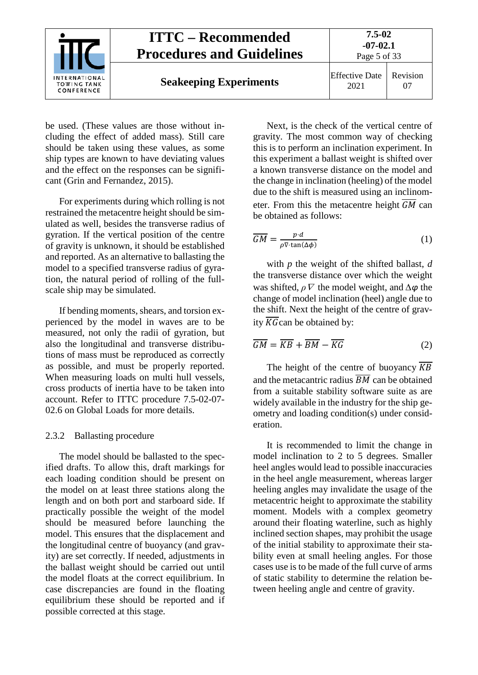

be used. (These values are those without including the effect of added mass). Still care should be taken using these values, as some ship types are known to have deviating values and the effect on the responses can be significant (Grin and Fernandez, 2015).

For experiments during which rolling is not restrained the metacentre height should be simulated as well, besides the transverse radius of gyration. If the vertical position of the centre of gravity is unknown, it should be established and reported. As an alternative to ballasting the model to a specified transverse radius of gyration, the natural period of rolling of the fullscale ship may be simulated.

If bending moments, shears, and torsion experienced by the model in waves are to be measured, not only the radii of gyration, but also the longitudinal and transverse distributions of mass must be reproduced as correctly as possible, and must be properly reported. When measuring loads on multi hull vessels, cross products of inertia have to be taken into account. Refer to ITTC procedure 7.5-02-07- 02.6 on Global Loads for more details.

### <span id="page-4-0"></span>2.3.2 Ballasting procedure

The model should be ballasted to the specified drafts. To allow this, draft markings for each loading condition should be present on the model on at least three stations along the length and on both port and starboard side. If practically possible the weight of the model should be measured before launching the model. This ensures that the displacement and the longitudinal centre of buoyancy (and gravity) are set correctly. If needed, adjustments in the ballast weight should be carried out until the model floats at the correct equilibrium. In case discrepancies are found in the floating equilibrium these should be reported and if possible corrected at this stage.

Next, is the check of the vertical centre of gravity. The most common way of checking this is to perform an inclination experiment. In this experiment a ballast weight is shifted over a known transverse distance on the model and the change in inclination (heeling) of the model due to the shift is measured using an inclinometer. From this the metacentre height  $\overline{GM}$  can be obtained as follows:

$$
\overline{GM} = \frac{p \cdot d}{\rho \nabla \cdot \tan(\Delta \phi)}\tag{1}
$$

with *p* the weight of the shifted ballast, *d* the transverse distance over which the weight was shifted, *ρ*<sup>∇</sup> the model weight, and *∆φ* the change of model inclination (heel) angle due to the shift. Next the height of the centre of gravity  $\overline{KG}$  can be obtained by:

$$
\overline{GM} = \overline{KB} + \overline{BM} - \overline{KG} \tag{2}
$$

The height of the centre of buoyancy  $\overline{KB}$ and the metacantric radius  $\overline{BM}$  can be obtained from a suitable stability software suite as are widely available in the industry for the ship geometry and loading condition(s) under consideration.

It is recommended to limit the change in model inclination to 2 to 5 degrees. Smaller heel angles would lead to possible inaccuracies in the heel angle measurement, whereas larger heeling angles may invalidate the usage of the metacentric height to approximate the stability moment. Models with a complex geometry around their floating waterline, such as highly inclined section shapes, may prohibit the usage of the initial stability to approximate their stability even at small heeling angles. For those cases use is to be made of the full curve of arms of static stability to determine the relation between heeling angle and centre of gravity.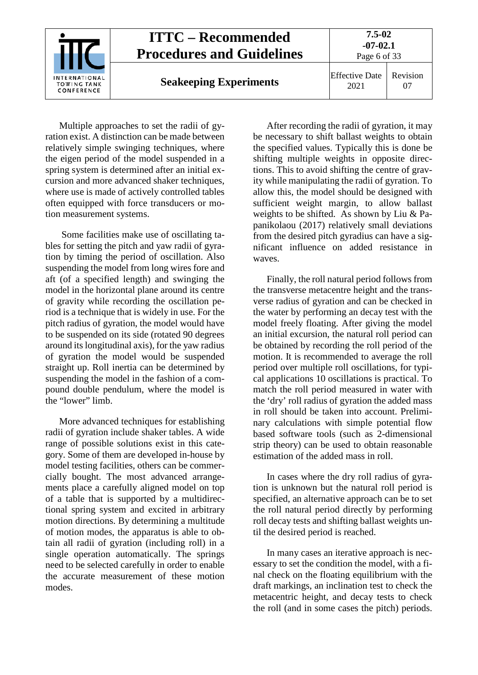

Multiple approaches to set the radii of gyration exist. A distinction can be made between relatively simple swinging techniques, where the eigen period of the model suspended in a spring system is determined after an initial excursion and more advanced shaker techniques, where use is made of actively controlled tables often equipped with force transducers or motion measurement systems.

Some facilities make use of oscillating tables for setting the pitch and yaw radii of gyration by timing the period of oscillation. Also suspending the model from long wires fore and aft (of a specified length) and swinging the model in the horizontal plane around its centre of gravity while recording the oscillation period is a technique that is widely in use. For the pitch radius of gyration, the model would have to be suspended on its side (rotated 90 degrees around its longitudinal axis), for the yaw radius of gyration the model would be suspended straight up. Roll inertia can be determined by suspending the model in the fashion of a compound double pendulum, where the model is the "lower" limb.

More advanced techniques for establishing radii of gyration include shaker tables. A wide range of possible solutions exist in this category. Some of them are developed in-house by model testing facilities, others can be commercially bought. The most advanced arrangements place a carefully aligned model on top of a table that is supported by a multidirectional spring system and excited in arbitrary motion directions. By determining a multitude of motion modes, the apparatus is able to obtain all radii of gyration (including roll) in a single operation automatically. The springs need to be selected carefully in order to enable the accurate measurement of these motion modes.

After recording the radii of gyration, it may be necessary to shift ballast weights to obtain the specified values. Typically this is done be shifting multiple weights in opposite directions. This to avoid shifting the centre of gravity while manipulating the radii of gyration. To allow this, the model should be designed with sufficient weight margin, to allow ballast weights to be shifted. As shown by Liu & Papanikolaou (2017) relatively small deviations from the desired pitch gyradius can have a significant influence on added resistance in waves.

Finally, the roll natural period follows from the transverse metacentre height and the transverse radius of gyration and can be checked in the water by performing an decay test with the model freely floating. After giving the model an initial excursion, the natural roll period can be obtained by recording the roll period of the motion. It is recommended to average the roll period over multiple roll oscillations, for typical applications 10 oscillations is practical. To match the roll period measured in water with the 'dry' roll radius of gyration the added mass in roll should be taken into account. Preliminary calculations with simple potential flow based software tools (such as 2-dimensional strip theory) can be used to obtain reasonable estimation of the added mass in roll.

In cases where the dry roll radius of gyration is unknown but the natural roll period is specified, an alternative approach can be to set the roll natural period directly by performing roll decay tests and shifting ballast weights until the desired period is reached.

In many cases an iterative approach is necessary to set the condition the model, with a final check on the floating equilibrium with the draft markings, an inclination test to check the metacentric height, and decay tests to check the roll (and in some cases the pitch) periods.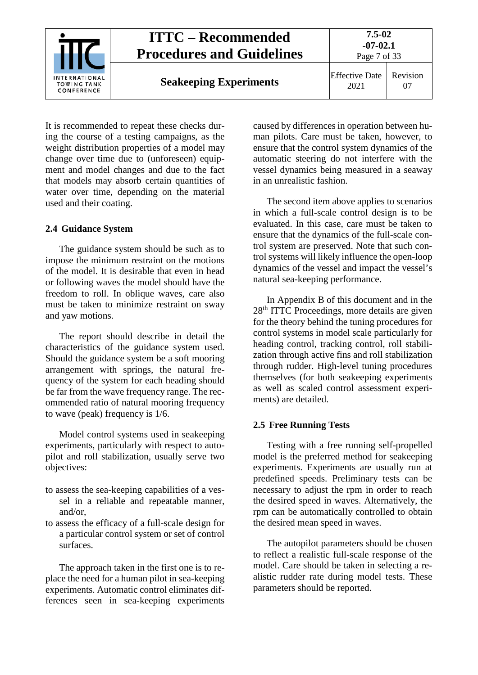

It is recommended to repeat these checks during the course of a testing campaigns, as the weight distribution properties of a model may change over time due to (unforeseen) equipment and model changes and due to the fact that models may absorb certain quantities of water over time, depending on the material used and their coating.

### <span id="page-6-0"></span>**2.4 Guidance System**

The guidance system should be such as to impose the minimum restraint on the motions of the model. It is desirable that even in head or following waves the model should have the freedom to roll. In oblique waves, care also must be taken to minimize restraint on sway and yaw motions.

The report should describe in detail the characteristics of the guidance system used. Should the guidance system be a soft mooring arrangement with springs, the natural frequency of the system for each heading should be far from the wave frequency range. The recommended ratio of natural mooring frequency to wave (peak) frequency is 1/6.

Model control systems used in seakeeping experiments, particularly with respect to autopilot and roll stabilization, usually serve two objectives:

- to assess the sea-keeping capabilities of a vessel in a reliable and repeatable manner, and/or,
- to assess the efficacy of a full-scale design for a particular control system or set of control surfaces.

The approach taken in the first one is to replace the need for a human pilot in sea-keeping experiments. Automatic control eliminates differences seen in sea-keeping experiments caused by differences in operation between human pilots. Care must be taken, however, to ensure that the control system dynamics of the automatic steering do not interfere with the vessel dynamics being measured in a seaway in an unrealistic fashion.

The second item above applies to scenarios in which a full-scale control design is to be evaluated. In this case, care must be taken to ensure that the dynamics of the full-scale control system are preserved. Note that such control systems will likely influence the open-loop dynamics of the vessel and impact the vessel's natural sea-keeping performance.

In Appendix B of this document and in the 28<sup>th</sup> ITTC Proceedings, more details are given for the theory behind the tuning procedures for control systems in model scale particularly for heading control, tracking control, roll stabilization through active fins and roll stabilization through rudder. High-level tuning procedures themselves (for both seakeeping experiments as well as scaled control assessment experiments) are detailed.

### <span id="page-6-1"></span>**2.5 Free Running Tests**

Testing with a free running self-propelled model is the preferred method for seakeeping experiments. Experiments are usually run at predefined speeds. Preliminary tests can be necessary to adjust the rpm in order to reach the desired speed in waves. Alternatively, the rpm can be automatically controlled to obtain the desired mean speed in waves.

The autopilot parameters should be chosen to reflect a realistic full-scale response of the model. Care should be taken in selecting a realistic rudder rate during model tests. These parameters should be reported.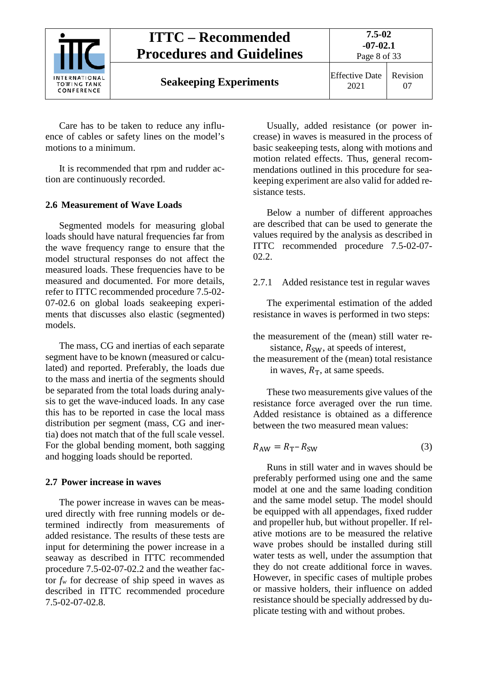

**Seakeeping Experiments** Effective Date

2021 Revision 07

Care has to be taken to reduce any influence of cables or safety lines on the model's motions to a minimum.

It is recommended that rpm and rudder action are continuously recorded.

## <span id="page-7-0"></span>**2.6 Measurement of Wave Loads**

Segmented models for measuring global loads should have natural frequencies far from the wave frequency range to ensure that the model structural responses do not affect the measured loads. These frequencies have to be measured and documented. For more details, refer to ITTC recommended procedure 7.5-02- 07-02.6 on global loads seakeeping experiments that discusses also elastic (segmented) models.

The mass, CG and inertias of each separate segment have to be known (measured or calculated) and reported. Preferably, the loads due to the mass and inertia of the segments should be separated from the total loads during analysis to get the wave-induced loads. In any case this has to be reported in case the local mass distribution per segment (mass, CG and inertia) does not match that of the full scale vessel. For the global bending moment, both sagging and hogging loads should be reported.

### <span id="page-7-1"></span>**2.7 Power increase in waves**

The power increase in waves can be measured directly with free running models or determined indirectly from measurements of added resistance. The results of these tests are input for determining the power increase in a seaway as described in ITTC recommended procedure 7.5-02-07-02.2 and the weather factor  $f_w$  for decrease of ship speed in waves as described in ITTC recommended procedure 7.5-02-07-02.8.

Usually, added resistance (or power increase) in waves is measured in the process of basic seakeeping tests, along with motions and motion related effects. Thus, general recommendations outlined in this procedure for seakeeping experiment are also valid for added resistance tests.

Below a number of different approaches are described that can be used to generate the values required by the analysis as described in ITTC recommended procedure 7.5-02-07- 02.2.

## <span id="page-7-2"></span>2.7.1 Added resistance test in regular waves

The experimental estimation of the added resistance in waves is performed in two steps:

- the measurement of the (mean) still water resistance,  $R_{SW}$ , at speeds of interest,
- the measurement of the (mean) total resistance in waves,  $R_T$ , at same speeds.

These two measurements give values of the resistance force averaged over the run time. Added resistance is obtained as a difference between the two measured mean values:

$$
R_{\rm AW} = R_{\rm T} - R_{\rm SW} \tag{3}
$$

Runs in still water and in waves should be preferably performed using one and the same model at one and the same loading condition and the same model setup. The model should be equipped with all appendages, fixed rudder and propeller hub, but without propeller. If relative motions are to be measured the relative wave probes should be installed during still water tests as well, under the assumption that they do not create additional force in waves. However, in specific cases of multiple probes or massive holders, their influence on added resistance should be specially addressed by duplicate testing with and without probes.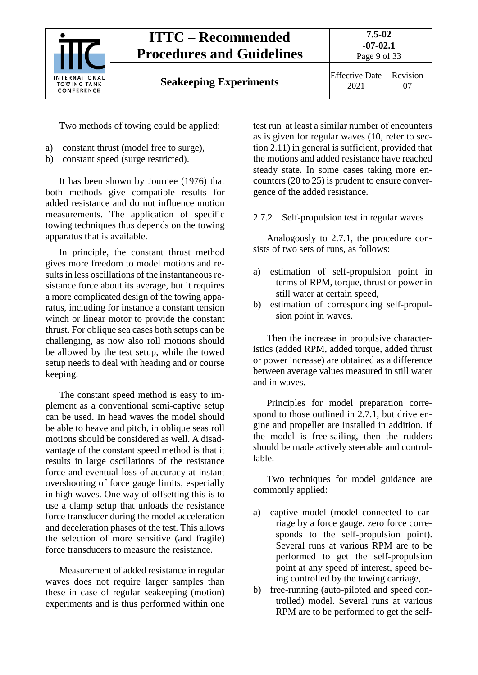

2021 Revision 07

Two methods of towing could be applied:

- a) constant thrust (model free to surge),
- b) constant speed (surge restricted).

It has been shown by Journee (1976) that both methods give compatible results for added resistance and do not influence motion measurements. The application of specific towing techniques thus depends on the towing apparatus that is available.

In principle, the constant thrust method gives more freedom to model motions and results in less oscillations of the instantaneous resistance force about its average, but it requires a more complicated design of the towing apparatus, including for instance a constant tension winch or linear motor to provide the constant thrust. For oblique sea cases both setups can be challenging, as now also roll motions should be allowed by the test setup, while the towed setup needs to deal with heading and or course keeping.

The constant speed method is easy to implement as a conventional semi-captive setup can be used. In head waves the model should be able to heave and pitch, in oblique seas roll motions should be considered as well. A disadvantage of the constant speed method is that it results in large oscillations of the resistance force and eventual loss of accuracy at instant overshooting of force gauge limits, especially in high waves. One way of offsetting this is to use a clamp setup that unloads the resistance force transducer during the model acceleration and deceleration phases of the test. This allows the selection of more sensitive (and fragile) force transducers to measure the resistance.

Measurement of added resistance in regular waves does not require larger samples than these in case of regular seakeeping (motion) experiments and is thus performed within one

test run at least a similar number of encounters as is given for regular waves (10, refer to sectio[n 2.11\)](#page-10-1) in general is sufficient, provided that the motions and added resistance have reached steady state. In some cases taking more encounters (20 to 25) is prudent to ensure convergence of the added resistance.

### <span id="page-8-0"></span>2.7.2 Self-propulsion test in regular waves

Analogously to 2.7.1, the procedure consists of two sets of runs, as follows:

- a) estimation of self-propulsion point in terms of RPM, torque, thrust or power in still water at certain speed,
- b) estimation of corresponding self-propulsion point in waves.

Then the increase in propulsive characteristics (added RPM, added torque, added thrust or power increase) are obtained as a difference between average values measured in still water and in waves.

Principles for model preparation correspond to those outlined in 2.7.1, but drive engine and propeller are installed in addition. If the model is free-sailing, then the rudders should be made actively steerable and controllable.

Two techniques for model guidance are commonly applied:

- a) captive model (model connected to carriage by a force gauge, zero force corresponds to the self-propulsion point). Several runs at various RPM are to be performed to get the self-propulsion point at any speed of interest, speed being controlled by the towing carriage,
- b) free-running (auto-piloted and speed controlled) model. Several runs at various RPM are to be performed to get the self-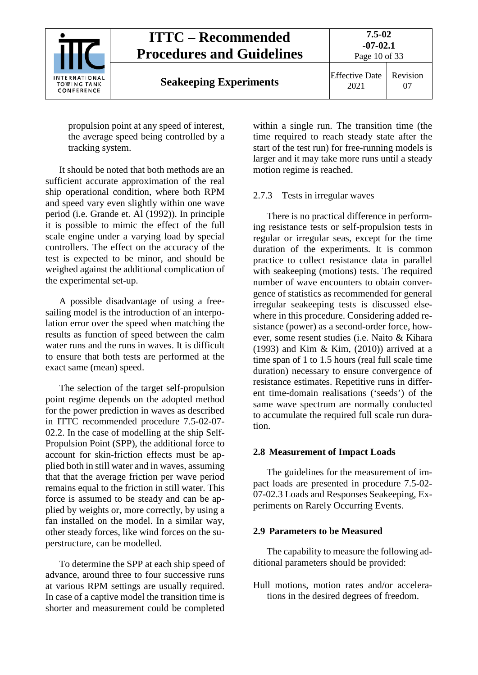

propulsion point at any speed of interest, the average speed being controlled by a tracking system.

It should be noted that both methods are an sufficient accurate approximation of the real ship operational condition, where both RPM and speed vary even slightly within one wave period (i.e. Grande et. Al (1992)). In principle it is possible to mimic the effect of the full scale engine under a varying load by special controllers. The effect on the accuracy of the test is expected to be minor, and should be weighed against the additional complication of the experimental set-up.

A possible disadvantage of using a freesailing model is the introduction of an interpolation error over the speed when matching the results as function of speed between the calm water runs and the runs in waves. It is difficult to ensure that both tests are performed at the exact same (mean) speed.

The selection of the target self-propulsion point regime depends on the adopted method for the power prediction in waves as described in ITTC recommended procedure 7.5-02-07- 02.2. In the case of modelling at the ship Self-Propulsion Point (SPP), the additional force to account for skin-friction effects must be applied both in still water and in waves, assuming that that the average friction per wave period remains equal to the friction in still water. This force is assumed to be steady and can be applied by weights or, more correctly, by using a fan installed on the model. In a similar way, other steady forces, like wind forces on the superstructure, can be modelled.

To determine the SPP at each ship speed of advance, around three to four successive runs at various RPM settings are usually required. In case of a captive model the transition time is shorter and measurement could be completed

within a single run. The transition time (the time required to reach steady state after the start of the test run) for free-running models is larger and it may take more runs until a steady motion regime is reached.

### <span id="page-9-0"></span>2.7.3 Tests in irregular waves

There is no practical difference in performing resistance tests or self-propulsion tests in regular or irregular seas, except for the time duration of the experiments. It is common practice to collect resistance data in parallel with seakeeping (motions) tests. The required number of wave encounters to obtain convergence of statistics as recommended for general irregular seakeeping tests is discussed elsewhere in this procedure. Considering added resistance (power) as a second-order force, however, some resent studies (i.e. Naito & Kihara (1993) and Kim & Kim, (2010)) arrived at a time span of 1 to 1.5 hours (real full scale time duration) necessary to ensure convergence of resistance estimates. Repetitive runs in different time-domain realisations ('seeds') of the same wave spectrum are normally conducted to accumulate the required full scale run duration.

### <span id="page-9-1"></span>**2.8 Measurement of Impact Loads**

The guidelines for the measurement of impact loads are presented in procedure 7.5-02- 07-02.3 Loads and Responses Seakeeping, Experiments on Rarely Occurring Events.

#### <span id="page-9-2"></span>**2.9 Parameters to be Measured**

The capability to measure the following additional parameters should be provided:

Hull motions, motion rates and/or accelerations in the desired degrees of freedom.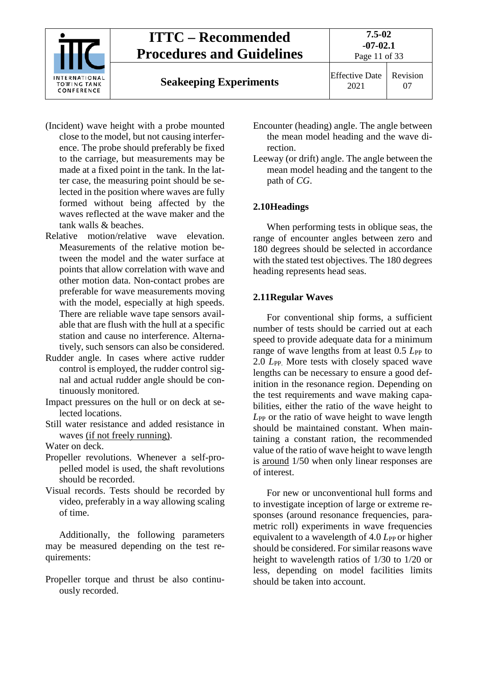

- (Incident) wave height with a probe mounted close to the model, but not causing interference. The probe should preferably be fixed to the carriage, but measurements may be made at a fixed point in the tank. In the latter case, the measuring point should be selected in the position where waves are fully formed without being affected by the waves reflected at the wave maker and the tank walls & beaches.
- Relative motion/relative wave elevation. Measurements of the relative motion between the model and the water surface at points that allow correlation with wave and other motion data. Non-contact probes are preferable for wave measurements moving with the model, especially at high speeds. There are reliable wave tape sensors available that are flush with the hull at a specific station and cause no interference. Alternatively, such sensors can also be considered.
- Rudder angle. In cases where active rudder control is employed, the rudder control signal and actual rudder angle should be continuously monitored.
- Impact pressures on the hull or on deck at selected locations.
- Still water resistance and added resistance in waves (if not freely running).

Water on deck.

- Propeller revolutions. Whenever a self-propelled model is used, the shaft revolutions should be recorded.
- Visual records. Tests should be recorded by video, preferably in a way allowing scaling of time.

Additionally, the following parameters may be measured depending on the test requirements:

Propeller torque and thrust be also continuously recorded.

- Encounter (heading) angle. The angle between the mean model heading and the wave direction.
- Leeway (or drift) angle. The angle between the mean model heading and the tangent to the path of *CG*.

## <span id="page-10-0"></span>**2.10Headings**

When performing tests in oblique seas, the range of encounter angles between zero and 180 degrees should be selected in accordance with the stated test objectives. The 180 degrees heading represents head seas.

## <span id="page-10-1"></span>**2.11Regular Waves**

For conventional ship forms, a sufficient number of tests should be carried out at each speed to provide adequate data for a minimum range of wave lengths from at least 0.5  $L_{PP}$  to 2.0 *L*<sub>PP</sub>. More tests with closely spaced wave lengths can be necessary to ensure a good definition in the resonance region. Depending on the test requirements and wave making capabilities, either the ratio of the wave height to *L*PP or the ratio of wave height to wave length should be maintained constant. When maintaining a constant ration, the recommended value of the ratio of wave height to wave length is around 1/50 when only linear responses are of interest.

For new or unconventional hull forms and to investigate inception of large or extreme responses (around resonance frequencies, parametric roll) experiments in wave frequencies equivalent to a wavelength of 4.0 *L*<sub>PP</sub> or higher should be considered. For similar reasons wave height to wavelength ratios of 1/30 to 1/20 or less, depending on model facilities limits should be taken into account.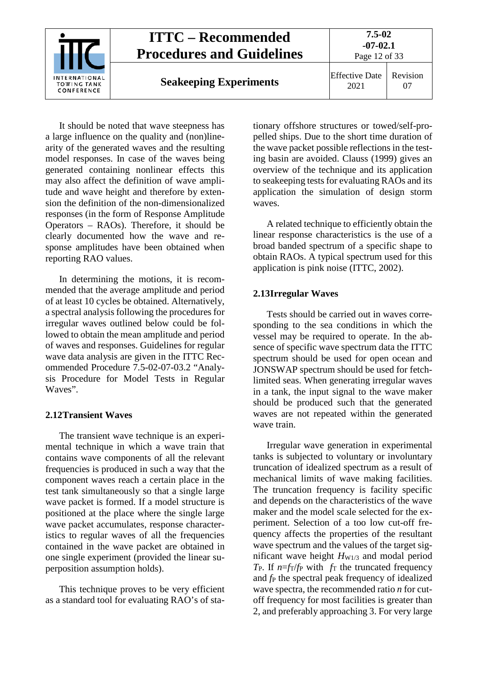

It should be noted that wave steepness has a large influence on the quality and (non)linearity of the generated waves and the resulting model responses. In case of the waves being generated containing nonlinear effects this may also affect the definition of wave amplitude and wave height and therefore by extension the definition of the non-dimensionalized responses (in the form of Response Amplitude Operators – RAOs). Therefore, it should be clearly documented how the wave and response amplitudes have been obtained when reporting RAO values.

In determining the motions, it is recommended that the average amplitude and period of at least 10 cycles be obtained. Alternatively, a spectral analysis following the procedures for irregular waves outlined below could be followed to obtain the mean amplitude and period of waves and responses. Guidelines for regular wave data analysis are given in the ITTC Recommended Procedure 7.5-02-07-03.2 "Analysis Procedure for Model Tests in Regular Waves".

### <span id="page-11-0"></span>**2.12Transient Waves**

The transient wave technique is an experimental technique in which a wave train that contains wave components of all the relevant frequencies is produced in such a way that the component waves reach a certain place in the test tank simultaneously so that a single large wave packet is formed. If a model structure is positioned at the place where the single large wave packet accumulates, response characteristics to regular waves of all the frequencies contained in the wave packet are obtained in one single experiment (provided the linear superposition assumption holds).

This technique proves to be very efficient as a standard tool for evaluating RAO's of stationary offshore structures or towed/self-propelled ships. Due to the short time duration of the wave packet possible reflections in the testing basin are avoided. Clauss (1999) gives an overview of the technique and its application to seakeeping tests for evaluating RAOs and its application the simulation of design storm waves.

A related technique to efficiently obtain the linear response characteristics is the use of a broad banded spectrum of a specific shape to obtain RAOs. A typical spectrum used for this application is pink noise (ITTC, 2002).

### <span id="page-11-1"></span>**2.13Irregular Waves**

Tests should be carried out in waves corresponding to the sea conditions in which the vessel may be required to operate. In the absence of specific wave spectrum data the ITTC spectrum should be used for open ocean and JONSWAP spectrum should be used for fetchlimited seas. When generating irregular waves in a tank, the input signal to the wave maker should be produced such that the generated waves are not repeated within the generated wave train.

Irregular wave generation in experimental tanks is subjected to voluntary or involuntary truncation of idealized spectrum as a result of mechanical limits of wave making facilities. The truncation frequency is facility specific and depends on the characteristics of the wave maker and the model scale selected for the experiment. Selection of a too low cut-off frequency affects the properties of the resultant wave spectrum and the values of the target significant wave height  $H_{W1/3}$  and modal period  $T_{P}$ . If  $n=f_T/f_P$  with  $f_T$  the truncated frequency and  $f_P$  the spectral peak frequency of idealized wave spectra, the recommended ratio *n* for cutoff frequency for most facilities is greater than 2, and preferably approaching 3. For very large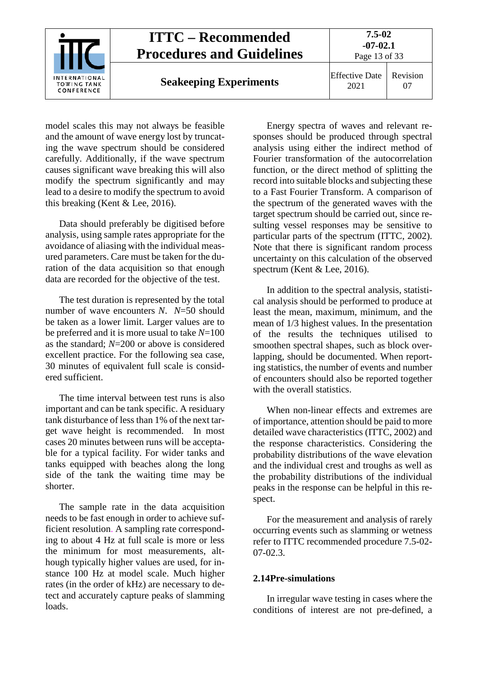

model scales this may not always be feasible and the amount of wave energy lost by truncating the wave spectrum should be considered carefully. Additionally, if the wave spectrum causes significant wave breaking this will also modify the spectrum significantly and may lead to a desire to modify the spectrum to avoid this breaking (Kent & Lee, 2016).

Data should preferably be digitised before analysis, using sample rates appropriate for the avoidance of aliasing with the individual measured parameters. Care must be taken for the duration of the data acquisition so that enough data are recorded for the objective of the test.

The test duration is represented by the total number of wave encounters *N*. *N*=50 should be taken as a lower limit. Larger values are to be preferred and it is more usual to take *N*=100 as the standard; *N*=200 or above is considered excellent practice. For the following sea case, 30 minutes of equivalent full scale is considered sufficient.

The time interval between test runs is also important and can be tank specific. A residuary tank disturbance of less than 1% of the next target wave height is recommended. In most cases 20 minutes between runs will be acceptable for a typical facility. For wider tanks and tanks equipped with beaches along the long side of the tank the waiting time may be shorter.

The sample rate in the data acquisition needs to be fast enough in order to achieve sufficient resolution. A sampling rate corresponding to about 4 Hz at full scale is more or less the minimum for most measurements, although typically higher values are used, for instance 100 Hz at model scale. Much higher rates (in the order of kHz) are necessary to detect and accurately capture peaks of slamming loads.

Energy spectra of waves and relevant responses should be produced through spectral analysis using either the indirect method of Fourier transformation of the autocorrelation function, or the direct method of splitting the record into suitable blocks and subjecting these to a Fast Fourier Transform. A comparison of the spectrum of the generated waves with the target spectrum should be carried out, since resulting vessel responses may be sensitive to particular parts of the spectrum (ITTC, 2002). Note that there is significant random process uncertainty on this calculation of the observed spectrum (Kent & Lee, 2016).

In addition to the spectral analysis, statistical analysis should be performed to produce at least the mean, maximum, minimum, and the mean of 1/3 highest values. In the presentation of the results the techniques utilised to smoothen spectral shapes, such as block overlapping, should be documented. When reporting statistics, the number of events and number of encounters should also be reported together with the overall statistics.

When non-linear effects and extremes are of importance, attention should be paid to more detailed wave characteristics (ITTC, 2002) and the response characteristics. Considering the probability distributions of the wave elevation and the individual crest and troughs as well as the probability distributions of the individual peaks in the response can be helpful in this respect.

For the measurement and analysis of rarely occurring events such as slamming or wetness refer to ITTC recommended procedure 7.5-02- 07-02.3.

### <span id="page-12-0"></span>**2.14Pre-simulations**

In irregular wave testing in cases where the conditions of interest are not pre-defined, a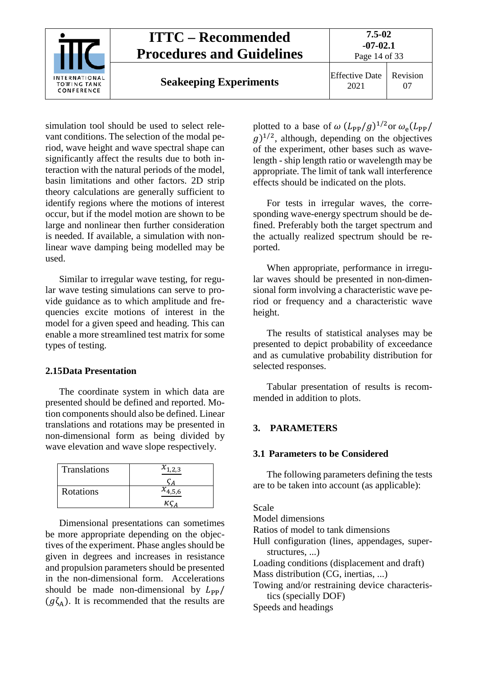

simulation tool should be used to select relevant conditions. The selection of the modal period, wave height and wave spectral shape can significantly affect the results due to both interaction with the natural periods of the model, basin limitations and other factors. 2D strip theory calculations are generally sufficient to identify regions where the motions of interest occur, but if the model motion are shown to be large and nonlinear then further consideration is needed. If available, a simulation with nonlinear wave damping being modelled may be used.

Similar to irregular wave testing, for regular wave testing simulations can serve to provide guidance as to which amplitude and frequencies excite motions of interest in the model for a given speed and heading. This can enable a more streamlined test matrix for some types of testing.

### <span id="page-13-0"></span>**2.15Data Presentation**

The coordinate system in which data are presented should be defined and reported. Motion components should also be defined. Linear translations and rotations may be presented in non-dimensional form as being divided by wave elevation and wave slope respectively.

| <b>Translations</b> | $x_{1,2,3}$ |
|---------------------|-------------|
|                     |             |
| <b>Rotations</b>    | $x_{4,5,6}$ |
|                     | кс          |

Dimensional presentations can sometimes be more appropriate depending on the objectives of the experiment. Phase angles should be given in degrees and increases in resistance and propulsion parameters should be presented in the non-dimensional form. Accelerations should be made non-dimensional by  $L_{\rm PP}/$  $(g\zeta_A)$ . It is recommended that the results are plotted to a base of  $\omega (L_{PP}/g)^{1/2}$ or  $\omega_e(L_{PP}/g)$  $(q)^{1/2}$ , although, depending on the objectives of the experiment, other bases such as wavelength - ship length ratio or wavelength may be appropriate. The limit of tank wall interference effects should be indicated on the plots.

For tests in irregular waves, the corresponding wave-energy spectrum should be defined. Preferably both the target spectrum and the actually realized spectrum should be reported.

When appropriate, performance in irregular waves should be presented in non-dimensional form involving a characteristic wave period or frequency and a characteristic wave height.

The results of statistical analyses may be presented to depict probability of exceedance and as cumulative probability distribution for selected responses.

Tabular presentation of results is recommended in addition to plots.

### <span id="page-13-2"></span><span id="page-13-1"></span>**3. PARAMETERS**

### **3.1 Parameters to be Considered**

The following parameters defining the tests are to be taken into account (as applicable):

## Scale Model dimensions Ratios of model to tank dimensions Hull configuration (lines, appendages, superstructures, ...) Loading conditions (displacement and draft) Mass distribution (CG, inertias, ...) Towing and/or restraining device characteristics (specially DOF) Speeds and headings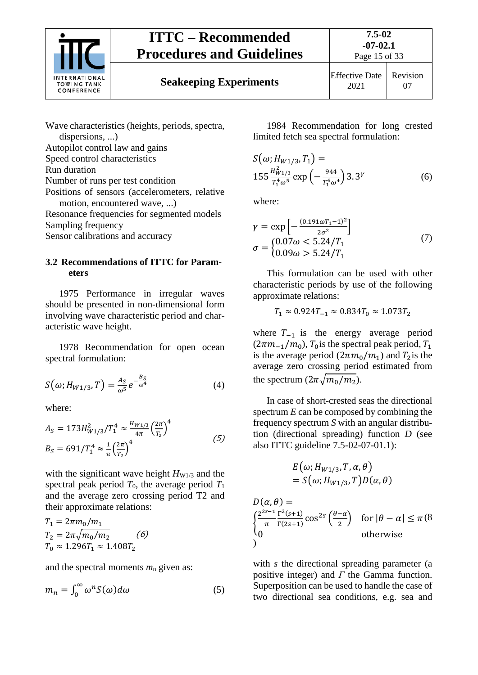

# **Seakeeping Experiments** Effective Date



2021 Revision 07

Wave characteristics (heights, periods, spectra, dispersions, ...) Autopilot control law and gains Speed control characteristics Run duration Number of runs per test condition Positions of sensors (accelerometers, relative motion, encountered wave, ...) Resonance frequencies for segmented models Sampling frequency Sensor calibrations and accuracy

### <span id="page-14-0"></span>**3.2 Recommendations of ITTC for Parameters**

1975 Performance in irregular waves should be presented in non-dimensional form involving wave characteristic period and characteristic wave height.

1978 Recommendation for open ocean spectral formulation:

$$
S(\omega; H_{W1/3}, T) = \frac{A_S}{\omega^5} e^{-\frac{B_S}{\omega^4}}
$$
(4)

where:

$$
A_S = 173H_{W1/3}^2/T_1^4 \approx \frac{H_{W1/3}}{4\pi} \left(\frac{2\pi}{T_2}\right)^4
$$
  
\n
$$
B_S = 691/T_1^4 \approx \frac{1}{\pi} \left(\frac{2\pi}{T_2}\right)^4
$$
 (5)

with the significant wave height  $H_{W1/3}$  and the spectral peak period  $T_0$ , the average period  $T_1$ and the average zero crossing period T2 and their approximate relations:

$$
T_1 = 2\pi m_0/m_1
$$
  
\n
$$
T_2 = 2\pi \sqrt{m_0/m_2}
$$
 (6)  
\n
$$
T_0 \approx 1.296T_1 \approx 1.408T_2
$$

and the spectral moments *m*<sup>n</sup> given as:

$$
m_n = \int_0^\infty \omega^n S(\omega) d\omega \tag{5}
$$

1984 Recommendation for long crested limited fetch sea spectral formulation:

$$
S(\omega; H_{W1/3}, T_1) =
$$
  
155  $\frac{H_{W1/3}^2}{T_1^4 \omega^5} \exp\left(-\frac{944}{T_1^4 \omega^4}\right) 3.3^{\gamma}$  (6)

where:

$$
\gamma = \exp\left[-\frac{(0.191\omega T_1 - 1)^2}{2\sigma^2}\right]
$$
  
\n
$$
\sigma = \begin{cases}\n0.07\omega < 5.24/T_1 \\
0.09\omega > 5.24/T_1\n\end{cases} \tag{7}
$$

This formulation can be used with other characteristic periods by use of the following approximate relations:

$$
T_1 \approx 0.924 T_{-1} \approx 0.834 T_0 \approx 1.073 T_2
$$

where  $T_{-1}$  is the energy average period  $(2\pi m_{-1}/m_0)$ ,  $T_0$  is the spectral peak period,  $T_1$ is the average period  $(2\pi m_0/m_1)$  and  $T_2$ is the average zero crossing period estimated from the spectrum  $(2\pi\sqrt{m_0/m_2})$ .

In case of short-crested seas the directional spectrum *E* can be composed by combining the frequency spectrum *S* with an angular distribution (directional spreading) function *D* (see also ITTC guideline 7.5-02-07-01.1):

$$
E(\omega; H_{W1/3}, T, \alpha, \theta)
$$
  
=  $S(\omega; H_{W1/3}, T)D(\alpha, \theta)$ 

$$
D(\alpha, \theta) =
$$
\n
$$
\int_{0}^{2^{2s-1}} \frac{\Gamma^{2}(s+1)}{\Gamma(2s+1)} \cos^{2s} \left(\frac{\theta-\alpha}{2}\right) \quad \text{for } |\theta-\alpha| \le \pi (8)
$$
\n
$$
\text{otherwise}
$$

with *s* the directional spreading parameter (a positive integer) and *Γ* the Gamma function. Superposition can be used to handle the case of two directional sea conditions, e.g. sea and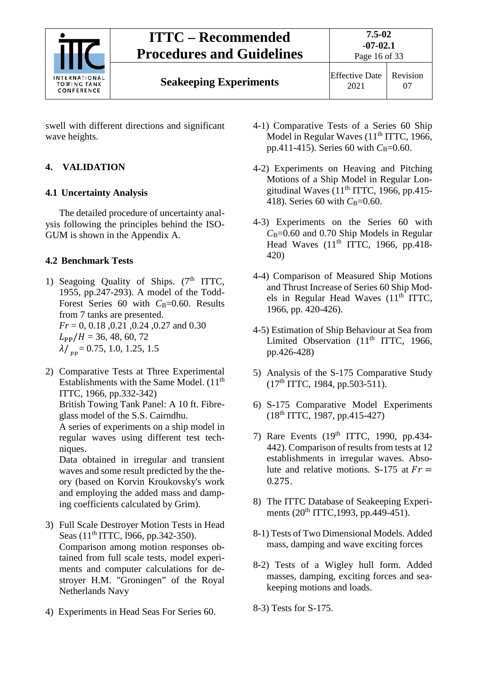

swell with different directions and significant wave heights.

## <span id="page-15-1"></span><span id="page-15-0"></span>**4. VALIDATION**

## **4.1 Uncertainty Analysis**

The detailed procedure of uncertainty analysis following the principles behind the ISO-GUM is shown in the Appendix A.

## <span id="page-15-2"></span>**4.2 Benchmark Tests**

- 1) Seagoing Quality of Ships.  $(7<sup>th</sup> ITTC,$ 1955, pp.247-293). A model of the Todd-Forest Series 60 with C<sub>B</sub>=0.60. Results from 7 tanks are presented. *Fr* = 0, 0.18 ,0.21 ,0.24 ,0.27 and 0.30  $L_{PP}/H = 36, 48, 60, 72$  $\lambda/\mu_{\rm m}$  = 0.75, 1.0, 1.25, 1.5
- 2) Comparative Tests at Three Experimental Establishments with the Same Model.  $(11<sup>th</sup>$ ITTC, 1966, pp.332-342)

British Towing Tank Panel: A 10 ft. Fibreglass model of the S.S. Cairndhu.

A series of experiments on a ship model in regular waves using different test techniques.

Data obtained in irregular and transient waves and some result predicted by the theory (based on Korvin Kroukovsky's work and employing the added mass and damping coefficients calculated by Grim).

- 3) Full Scale Destroyer Motion Tests in Head Seas (11<sup>th</sup> ITTC, 1966, pp.342-350). Comparison among motion responses obtained from full scale tests, model experiments and computer calculations for destroyer H.M. "Groningen" of the Royal Netherlands Navy
- 4) Experiments in Head Seas For Series 60.
- 4-1) Comparative Tests of a Series 60 Ship Model in Regular Waves  $(11<sup>th</sup> ITTC, 1966,$ pp.411-415). Series 60 with  $C_{\text{B}}=0.60$ .
- 4-2) Experiments on Heaving and Pitching Motions of a Ship Model in Regular Longitudinal Waves  $(11<sup>th</sup> ITTC, 1966, pp.415-$ 418). Series 60 with *C*<sub>B</sub>=0.60.
- 4-3) Experiments on the Series 60 with *C*B=0.60 and 0.70 Ship Models in Regular Head Waves  $(11<sup>th</sup> ITTC, 1966, pp.418-$ 420)
- 4-4) Comparison of Measured Ship Motions and Thrust Increase of Series 60 Ship Models in Regular Head Waves  $(11<sup>th</sup> ITTC)$ , 1966, pp. 420-426).
- 4-5) Estimation of Ship Behaviour at Sea from Limited Observation  $(11<sup>th</sup> ITTC, 1966,$ pp.426-428)
- 5) Analysis of the S-175 Comparative Study  $(17<sup>th</sup> ITTC, 1984, pp.503-511).$
- 6) S-175 Comparative Model Experiments  $(18^{th}$  ITTC, 1987, pp.415-427)
- 7) Rare Events (19th ITTC, 1990, pp.434- 442). Comparison of results from tests at 12 establishments in irregular waves. Absolute and relative motions. S-175 at  $Fr =$ 0.275.
- 8) The ITTC Database of Seakeeping Experiments  $(20^{th}$  ITTC, 1993, pp. 449-451).
- 8-1) Tests of Two Dimensional Models. Added mass, damping and wave exciting forces
- 8-2) Tests of a Wigley hull form. Added masses, damping, exciting forces and seakeeping motions and loads.
- 8-3) Tests for S-175.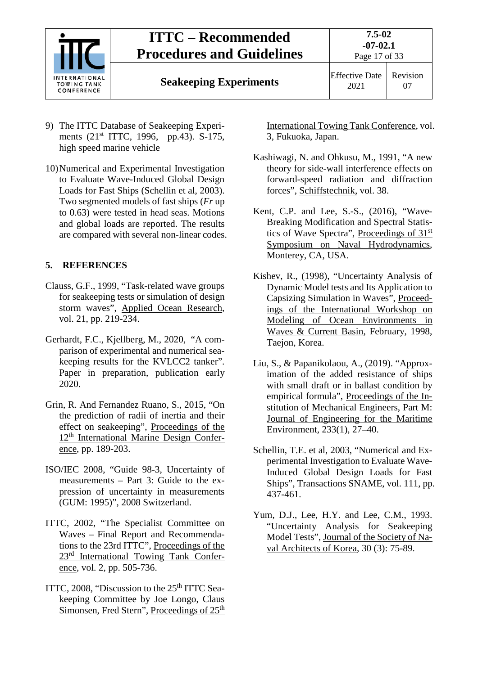

# **Seakeeping Experiments** Effective Date

2021 Revision 07

- 9) The ITTC Database of Seakeeping Experiments (21<sup>st</sup> ITTC, 1996, pp.43). S-175, high speed marine vehicle
- 10)Numerical and Experimental Investigation to Evaluate Wave-Induced Global Design Loads for Fast Ships (Schellin et al, 2003). Two segmented models of fast ships (*Fr* up to 0.63) were tested in head seas. Motions and global loads are reported. The results are compared with several non-linear codes.

## <span id="page-16-0"></span>**5. REFERENCES**

- Clauss, G.F., 1999, "Task-related wave groups for seakeeping tests or simulation of design storm waves", Applied Ocean Research, vol. 21, pp. 219-234.
- Gerhardt, F.C., Kjellberg, M., 2020, "A comparison of experimental and numerical seakeeping results for the KVLCC2 tanker". Paper in preparation, publication early 2020.
- Grin, R. And Fernandez Ruano, S., 2015, "On the prediction of radii of inertia and their effect on seakeeping", Proceedings of the 12th International Marine Design Conference, pp. 189-203.
- ISO/IEC 2008, "Guide 98-3, Uncertainty of measurements – Part 3: Guide to the expression of uncertainty in measurements (GUM: 1995)", 2008 Switzerland.
- ITTC, 2002, "The Specialist Committee on Waves – Final Report and Recommendations to the 23rd ITTC", Proceedings of the 23rd International Towing Tank Conference, vol. 2, pp. 505-736.
- ITTC, 2008, "Discussion to the 25<sup>th</sup> ITTC Seakeeping Committee by Joe Longo, Claus Simonsen, Fred Stern", Proceedings of 25<sup>th</sup>

International Towing Tank Conference, vol. 3, Fukuoka, Japan.

- Kashiwagi, N. and Ohkusu, M., 1991, "A new theory for side-wall interference effects on forward-speed radiation and diffraction forces", Schiffstechnik, vol. 38.
- Kent, C.P. and Lee, S.-S., (2016), "Wave-Breaking Modification and Spectral Statistics of Wave Spectra", Proceedings of 31st Symposium on Naval Hydrodynamics, Monterey, CA, USA.
- Kishev, R., (1998), "Uncertainty Analysis of Dynamic Model tests and Its Application to Capsizing Simulation in Waves", Proceedings of the International Workshop on Modeling of Ocean Environments in Waves & Current Basin, February, 1998, Taejon, Korea.
- Liu, S., & Papanikolaou, A., (2019). "Approximation of the added resistance of ships with small draft or in ballast condition by empirical formula", Proceedings of the Institution of Mechanical Engineers, Part M: Journal of Engineering for the Maritime Environment, 233(1), 27–40.
- Schellin, T.E. et al, 2003, "Numerical and Experimental Investigation to Evaluate Wave-Induced Global Design Loads for Fast Ships", Transactions SNAME, vol. 111, pp. 437-461.
- Yum, D.J., Lee, H.Y. and Lee, C.M., 1993. "Uncertainty Analysis for Seakeeping Model Tests", Journal of the Society of Naval Architects of Korea, 30 (3): 75-89.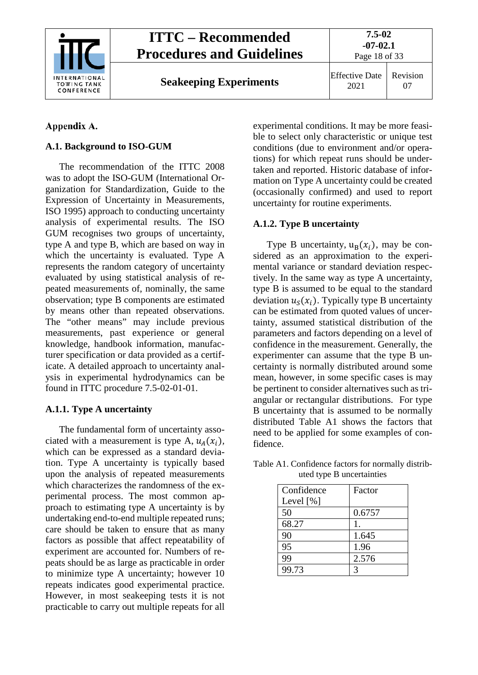

**Seakeeping Experiments** Effective Date

2021 Revision 07

## <span id="page-17-0"></span>Appendix A.

## <span id="page-17-1"></span>**A.1. Background to ISO-GUM**

The recommendation of the ITTC 2008 was to adopt the ISO-GUM (International Organization for Standardization, Guide to the Expression of Uncertainty in Measurements, ISO 1995) approach to conducting uncertainty analysis of experimental results. The ISO GUM recognises two groups of uncertainty, type A and type B, which are based on way in which the uncertainty is evaluated. Type A represents the random category of uncertainty evaluated by using statistical analysis of repeated measurements of, nominally, the same observation; type B components are estimated by means other than repeated observations. The "other means" may include previous measurements, past experience or general knowledge, handbook information, manufacturer specification or data provided as a certificate. A detailed approach to uncertainty analysis in experimental hydrodynamics can be found in ITTC procedure 7.5-02-01-01.

## <span id="page-17-2"></span>**A.1.1. Type A uncertainty**

The fundamental form of uncertainty associated with a measurement is type A,  $u_A(x_i)$ , which can be expressed as a standard deviation. Type A uncertainty is typically based upon the analysis of repeated measurements which characterizes the randomness of the experimental process. The most common approach to estimating type A uncertainty is by undertaking end-to-end multiple repeated runs; care should be taken to ensure that as many factors as possible that affect repeatability of experiment are accounted for. Numbers of repeats should be as large as practicable in order to minimize type A uncertainty; however 10 repeats indicates good experimental practice. However, in most seakeeping tests it is not practicable to carry out multiple repeats for all

experimental conditions. It may be more feasible to select only characteristic or unique test conditions (due to environment and/or operations) for which repeat runs should be undertaken and reported. Historic database of information on Type A uncertainty could be created (occasionally confirmed) and used to report uncertainty for routine experiments.

## <span id="page-17-3"></span>**A.1.2. Type B uncertainty**

Type B uncertainty,  $u_B(x_i)$ , may be considered as an approximation to the experimental variance or standard deviation respectively. In the same way as type A uncertainty, type B is assumed to be equal to the standard deviation  $u_{\varsigma}(x_i)$ . Typically type B uncertainty can be estimated from quoted values of uncertainty, assumed statistical distribution of the parameters and factors depending on a level of confidence in the measurement. Generally, the experimenter can assume that the type B uncertainty is normally distributed around some mean, however, in some specific cases is may be pertinent to consider alternatives such as triangular or rectangular distributions. For type B uncertainty that is assumed to be normally distributed Table A1 shows the factors that need to be applied for some examples of confidence.

| Confidence  | Factor       |
|-------------|--------------|
| Level $[%]$ |              |
| 50          | 0.6757       |
| 68.27       | 1.           |
| 90          | 1.645        |
| 95          | 1.96         |
| 99          | 2.576        |
| 99.73       | $\mathbf{z}$ |

Table A1. Confidence factors for normally distributed type B uncertainties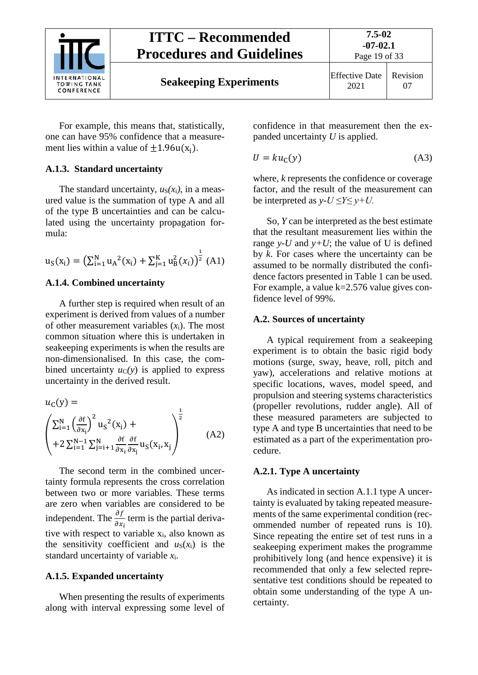

For example, this means that, statistically, one can have 95% confidence that a measurement lies within a value of  $\pm 1.96u(x_i)$ .

## <span id="page-18-0"></span>**A.1.3. Standard uncertainty**

The standard uncertainty,  $u_S(x_i)$ , in a measured value is the summation of type A and all of the type B uncertainties and can be calculated using the uncertainty propagation formula:

$$
u_{S}(x_{i}) = \left(\sum_{i=1}^{N} u_{A}^{2}(x_{i}) + \sum_{j=1}^{K} u_{B}^{2}(x_{i})\right)^{\frac{1}{2}} (A1)
$$

## <span id="page-18-1"></span>**A.1.4. Combined uncertainty**

A further step is required when result of an experiment is derived from values of a number of other measurement variables (*x*i). The most common situation where this is undertaken in seakeeping experiments is when the results are non-dimensionalised. In this case, the combined uncertainty  $u_C(y)$  is applied to express uncertainty in the derived result.

$$
u_{C}(y) = \left(\sum_{i=1}^{N} \left(\frac{\partial f}{\partial x_{i}}\right)^{2} u_{S}^{2}(x_{i}) + + 2 \sum_{i=1}^{N-1} \sum_{j=i+1}^{N} \frac{\partial f}{\partial x_{i}} \frac{\partial f}{\partial x_{j}} u_{S}(x_{i}, x_{j})\right)^{\frac{1}{2}}
$$
(A2)

The second term in the combined uncertainty formula represents the cross correlation between two or more variables. These terms are zero when variables are considered to be independent. The  $\frac{\partial f}{\partial x}$  $\partial x_i$ term is the partial derivative with respect to variable x<sub>i</sub>, also known as the sensitivity coefficient and  $u_S(x_i)$  is the standard uncertainty of variable *x*i.

### <span id="page-18-2"></span>**A.1.5. Expanded uncertainty**

When presenting the results of experiments along with interval expressing some level of confidence in that measurement then the expanded uncertainty *U* is applied.

$$
U = ku_{\mathbb{C}}(y) \tag{A3}
$$

where, *k* represents the confidence or coverage factor, and the result of the measurement can be interpreted as  $v$ - $U \le Y \le v$ + $U$ .

So, *Y* can be interpreted as the best estimate that the resultant measurement lies within the range *y*-*U* and *y*+*U*; the value of U is defined by *k*. For cases where the uncertainty can be assumed to be normally distributed the confidence factors presented in Table 1 can be used. For example, a value  $k=2.576$  value gives confidence level of 99%.

## <span id="page-18-3"></span>**A.2. Sources of uncertainty**

A typical requirement from a seakeeping experiment is to obtain the basic rigid body motions (surge, sway, heave, roll, pitch and yaw), accelerations and relative motions at specific locations, waves, model speed, and propulsion and steering systems characteristics (propeller revolutions, rudder angle). All of these measured parameters are subjected to type A and type B uncertainties that need to be estimated as a part of the experimentation procedure.

## <span id="page-18-4"></span>**A.2.1. Type A uncertainty**

As indicated in section A.1.1 type A uncertainty is evaluated by taking repeated measurements of the same experimental condition (recommended number of repeated runs is 10). Since repeating the entire set of test runs in a seakeeping experiment makes the programme prohibitively long (and hence expensive) it is recommended that only a few selected representative test conditions should be repeated to obtain some understanding of the type A uncertainty.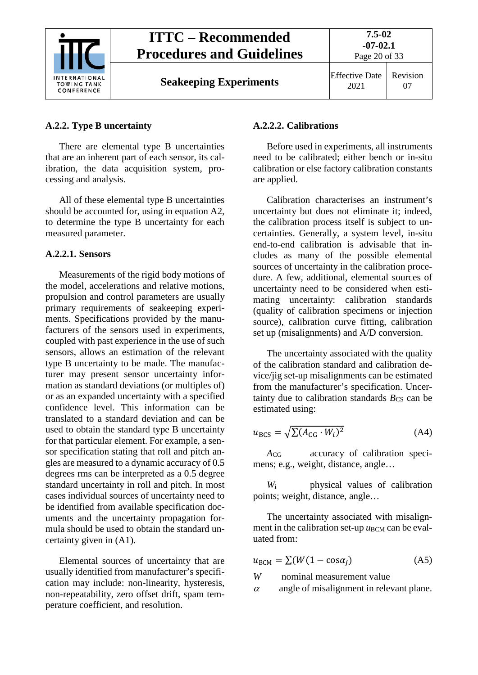

**Seakeeping Experiments** Effective Date

2021 Revision 07

### <span id="page-19-0"></span>**A.2.2. Type B uncertainty**

There are elemental type B uncertainties that are an inherent part of each sensor, its calibration, the data acquisition system, processing and analysis.

All of these elemental type B uncertainties should be accounted for, using in equation A2, to determine the type B uncertainty for each measured parameter.

### **A.2.2.1. Sensors**

Measurements of the rigid body motions of the model, accelerations and relative motions, propulsion and control parameters are usually primary requirements of seakeeping experiments. Specifications provided by the manufacturers of the sensors used in experiments, coupled with past experience in the use of such sensors, allows an estimation of the relevant type B uncertainty to be made. The manufacturer may present sensor uncertainty information as standard deviations (or multiples of) or as an expanded uncertainty with a specified confidence level. This information can be translated to a standard deviation and can be used to obtain the standard type B uncertainty for that particular element. For example, a sensor specification stating that roll and pitch angles are measured to a dynamic accuracy of 0.5 degrees rms can be interpreted as a 0.5 degree standard uncertainty in roll and pitch. In most cases individual sources of uncertainty need to be identified from available specification documents and the uncertainty propagation formula should be used to obtain the standard uncertainty given in (A1).

Elemental sources of uncertainty that are usually identified from manufacturer's specification may include: non-linearity, hysteresis, non-repeatability, zero offset drift, spam temperature coefficient, and resolution.

### **A.2.2.2. Calibrations**

Before used in experiments, all instruments need to be calibrated; either bench or in-situ calibration or else factory calibration constants are applied.

Calibration characterises an instrument's uncertainty but does not eliminate it; indeed, the calibration process itself is subject to uncertainties. Generally, a system level, in-situ end-to-end calibration is advisable that includes as many of the possible elemental sources of uncertainty in the calibration procedure. A few, additional, elemental sources of uncertainty need to be considered when estimating uncertainty: calibration standards (quality of calibration specimens or injection source), calibration curve fitting, calibration set up (misalignments) and A/D conversion.

The uncertainty associated with the quality of the calibration standard and calibration device/jig set-up misalignments can be estimated from the manufacturer's specification. Uncertainty due to calibration standards  $B_{\text{CS}}$  can be estimated using:

$$
u_{\rm BCS} = \sqrt{\sum (A_{\rm CG} \cdot W_i)^2} \tag{A4}
$$

*A*CG accuracy of calibration specimens; e.g., weight, distance, angle…

*W*<sup>i</sup> physical values of calibration points; weight, distance, angle…

The uncertainty associated with misalignment in the calibration set-up  $u_{\text{BCM}}$  can be evaluated from:

$$
u_{\text{BCM}} = \sum (W(1 - \cos \alpha_j) \tag{A5}
$$

*W* nominal measurement value

 $\alpha$  angle of misalignment in relevant plane.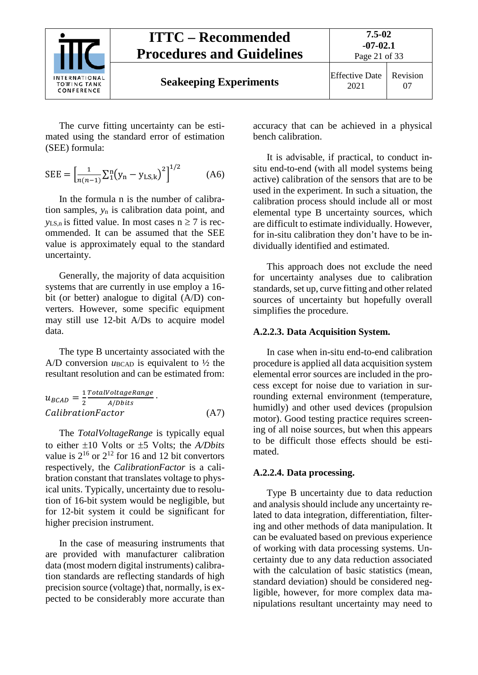

The curve fitting uncertainty can be estimated using the standard error of estimation (SEE) formula:

$$
SEE = \left[\frac{1}{n(n-1)}\sum_{1}^{n}(y_n - y_{LS,k})^2\right]^{1/2} \tag{A6}
$$

In the formula n is the number of calibration samples, *y*<sup>n</sup> is calibration data point, and  $y_{LS,n}$  is fitted value. In most cases  $n \ge 7$  is recommended. It can be assumed that the SEE value is approximately equal to the standard uncertainty.

Generally, the majority of data acquisition systems that are currently in use employ a 16 bit (or better) analogue to digital (A/D) converters. However, some specific equipment may still use 12-bit A/Ds to acquire model data.

The type B uncertainty associated with the A/D conversion  $u_{BCAD}$  is equivalent to  $\frac{1}{2}$  the resultant resolution and can be estimated from:

$$
u_{BCAD} = \frac{1}{2} \frac{TotalVoltag{Range}}{A/Dbits}
$$
  
CalibrationFactor\n(A7)

The *TotalVoltageRange* is typically equal to either ±10 Volts or ±5 Volts; the *A/Dbits* value is  $2^{16}$  or  $2^{12}$  for 16 and 12 bit convertors respectively, the *CalibrationFactor* is a calibration constant that translates voltage to physical units. Typically, uncertainty due to resolution of 16-bit system would be negligible, but for 12-bit system it could be significant for higher precision instrument.

In the case of measuring instruments that are provided with manufacturer calibration data (most modern digital instruments) calibration standards are reflecting standards of high precision source (voltage) that, normally, is expected to be considerably more accurate than

accuracy that can be achieved in a physical bench calibration.

It is advisable, if practical, to conduct insitu end-to-end (with all model systems being active) calibration of the sensors that are to be used in the experiment. In such a situation, the calibration process should include all or most elemental type B uncertainty sources, which are difficult to estimate individually. However, for in-situ calibration they don't have to be individually identified and estimated.

This approach does not exclude the need for uncertainty analyses due to calibration standards, set up, curve fitting and other related sources of uncertainty but hopefully overall simplifies the procedure.

### **A.2.2.3. Data Acquisition System.**

In case when in-situ end-to-end calibration procedure is applied all data acquisition system elemental error sources are included in the process except for noise due to variation in surrounding external environment (temperature, humidly) and other used devices (propulsion motor). Good testing practice requires screening of all noise sources, but when this appears to be difficult those effects should be estimated.

#### **A.2.2.4. Data processing.**

Type B uncertainty due to data reduction and analysis should include any uncertainty related to data integration, differentiation, filtering and other methods of data manipulation. It can be evaluated based on previous experience of working with data processing systems. Uncertainty due to any data reduction associated with the calculation of basic statistics (mean, standard deviation) should be considered negligible, however, for more complex data manipulations resultant uncertainty may need to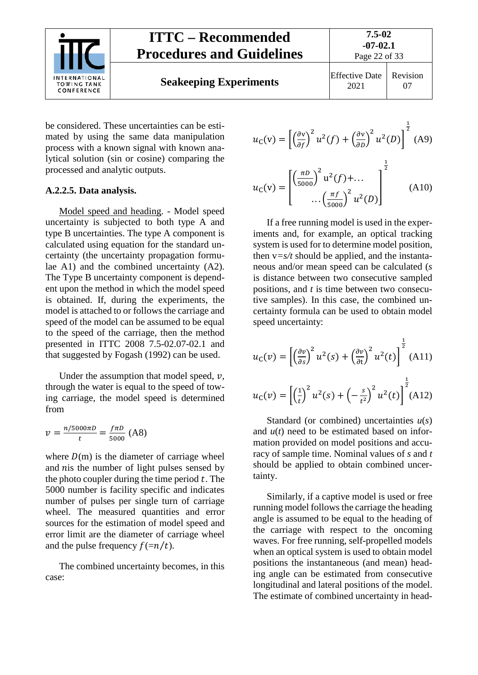

be considered. These uncertainties can be estimated by using the same data manipulation process with a known signal with known analytical solution (sin or cosine) comparing the processed and analytic outputs.

### **A.2.2.5. Data analysis.**

Model speed and heading. - Model speed uncertainty is subjected to both type A and type B uncertainties. The type A component is calculated using equation for the standard uncertainty (the uncertainty propagation formulae A1) and the combined uncertainty (A2). The Type B uncertainty component is dependent upon the method in which the model speed is obtained. If, during the experiments, the model is attached to or follows the carriage and speed of the model can be assumed to be equal to the speed of the carriage, then the method presented in ITTC 2008 7.5-02.07-02.1 and that suggested by Fogash (1992) can be used.

Under the assumption that model speed,  $\nu$ , through the water is equal to the speed of towing carriage, the model speed is determined from

$$
v = \frac{n/5000\pi D}{t} = \frac{f\pi D}{5000} \text{ (A8)}
$$

where  $D(m)$  is the diameter of carriage wheel and  $nis$  the number of light pulses sensed by the photo coupler during the time period  $t$ . The 5000 number is facility specific and indicates number of pulses per single turn of carriage wheel. The measured quantities and error sources for the estimation of model speed and error limit are the diameter of carriage wheel and the pulse frequency  $f(=\frac{m}{t})$ .

The combined uncertainty becomes, in this case:

$$
u_{\rm C}(v) = \left[ \left( \frac{\partial v}{\partial f} \right)^2 u^2(f) + \left( \frac{\partial v}{\partial D} \right)^2 u^2(D) \right]^{\frac{1}{2}} \text{(A9)}
$$

$$
u_{\rm C}(v) = \begin{bmatrix} \left(\frac{\pi D}{5000}\right)^2 u^2(f) + \dots \\ \dots \left(\frac{\pi f}{5000}\right)^2 u^2(D) \end{bmatrix}^{\frac{1}{2}}
$$
 (A10)

If a free running model is used in the experiments and, for example, an optical tracking system is used for to determine model position, then  $v=s/t$  should be applied, and the instantaneous and/or mean speed can be calculated (*s* is distance between two consecutive sampled positions, and *t* is time between two consecutive samples). In this case, the combined uncertainty formula can be used to obtain model speed uncertainty:

$$
u_{\mathcal{C}}(v) = \left[ \left( \frac{\partial v}{\partial s} \right)^2 u^2(s) + \left( \frac{\partial v}{\partial t} \right)^2 u^2(t) \right]^{\frac{1}{2}} \text{(A11)}
$$

$$
u_{\rm C}(v) = \left[ \left(\frac{1}{t}\right)^2 u^2(s) + \left(-\frac{s}{t^2}\right)^2 u^2(t) \right]^{\frac{1}{2}} (A12)
$$

Standard (or combined) uncertainties *u*(*s*) and *u*(*t*) need to be estimated based on information provided on model positions and accuracy of sample time. Nominal values of *s* and *t* should be applied to obtain combined uncertainty.

Similarly, if a captive model is used or free running model follows the carriage the heading angle is assumed to be equal to the heading of the carriage with respect to the oncoming waves. For free running, self-propelled models when an optical system is used to obtain model positions the instantaneous (and mean) heading angle can be estimated from consecutive longitudinal and lateral positions of the model. The estimate of combined uncertainty in head-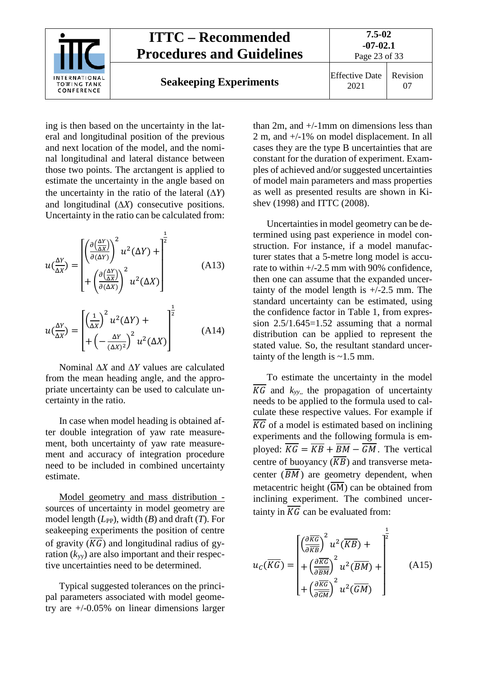

ing is then based on the uncertainty in the lateral and longitudinal position of the previous and next location of the model, and the nominal longitudinal and lateral distance between those two points. The arctangent is applied to estimate the uncertainty in the angle based on the uncertainty in the ratio of the lateral (∆*Y*) and longitudinal (∆*X*) consecutive positions. Uncertainty in the ratio can be calculated from:

$$
u\left(\frac{\Delta Y}{\Delta X}\right) = \left[\begin{pmatrix} \frac{\partial \left(\frac{\Delta Y}{\Delta X}\right)}{\partial (\Delta Y)}^2 u^2 (\Delta Y) + \frac{1}{\partial (\Delta X)} \\ + \left(\frac{\partial \left(\frac{\Delta Y}{\Delta X}\right)}{\partial (\Delta X)}\right)^2 u^2 (\Delta X) \end{pmatrix}\right] (A13)
$$

$$
u\left(\frac{\Delta Y}{\Delta X}\right) = \left[\left(\frac{1}{\Delta X}\right)^2 u^2 (\Delta Y) + \left(\frac{1}{(\Delta X)^2}\right)^2 u^2 (\Delta X)\right]^{\frac{1}{2}}
$$
(A14)

Nominal ∆*X* and ∆*Y* values are calculated from the mean heading angle, and the appropriate uncertainty can be used to calculate uncertainty in the ratio.

In case when model heading is obtained after double integration of yaw rate measurement, both uncertainty of yaw rate measurement and accuracy of integration procedure need to be included in combined uncertainty estimate.

Model geometry and mass distribution sources of uncertainty in model geometry are model length ( $L_{PP}$ ), width (*B*) and draft (*T*). For seakeeping experiments the position of centre of gravity  $(\overline{KG})$  and longitudinal radius of gyration (*k*yy) are also important and their respective uncertainties need to be determined.

Typical suggested tolerances on the principal parameters associated with model geometry are +/-0.05% on linear dimensions larger

than 2m, and +/-1mm on dimensions less than 2 m, and +/-1% on model displacement. In all cases they are the type B uncertainties that are constant for the duration of experiment. Examples of achieved and/or suggested uncertainties of model main parameters and mass properties as well as presented results are shown in Kishev (1998) and ITTC (2008).

Uncertainties in model geometry can be determined using past experience in model construction. For instance, if a model manufacturer states that a 5-metre long model is accurate to within +/-2.5 mm with 90% confidence, then one can assume that the expanded uncertainty of the model length is  $+/-2.5$  mm. The standard uncertainty can be estimated, using the confidence factor in Table 1, from expression  $2.5/1.645=1.52$  assuming that a normal distribution can be applied to represent the stated value. So, the resultant standard uncertainty of the length is  $\sim$  1.5 mm.

To estimate the uncertainty in the model  $\overline{KG}$  and  $k_{yy}$ , the propagation of uncertainty needs to be applied to the formula used to calculate these respective values. For example if  $\overline{KG}$  of a model is estimated based on inclining experiments and the following formula is employed:  $\overline{KG} = \overline{KB} + \overline{BM} - \overline{GM}$ . The vertical centre of buoyancy  $(\overline{KB})$  and transverse metacenter  $(\overline{BM})$  are geometry dependent, when metacentric height  $(\overline{GM})$  can be obtained from inclining experiment. The combined uncertainty in  $\overline{KG}$  can be evaluated from:

$$
u_C(\overline{KG}) = \begin{bmatrix} \left(\frac{\partial \overline{KG}}{\partial \overline{KB}}\right)^2 u^2(\overline{KB}) + \\ + \left(\frac{\partial \overline{KG}}{\partial \overline{BM}}\right)^2 u^2(\overline{BM}) + \\ + \left(\frac{\partial \overline{KG}}{\partial \overline{GM}}\right)^2 u^2(\overline{GM}) \end{bmatrix} (A15)
$$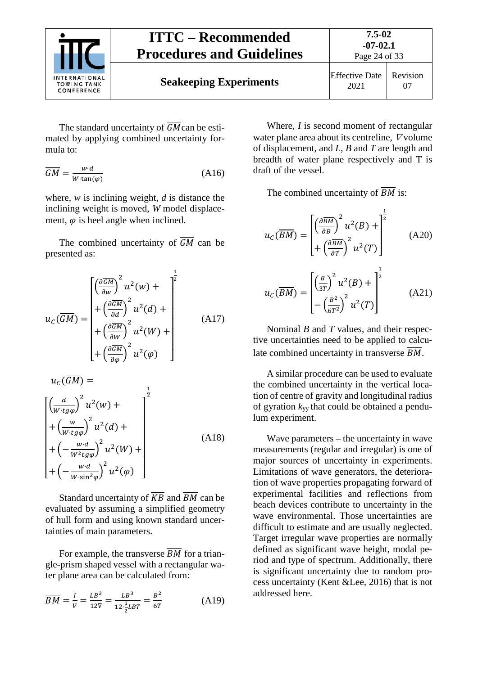

The standard uncertainty of  $\overline{GM}$  can be estimated by applying combined uncertainty formula to:

$$
\overline{GM} = \frac{w \cdot d}{W \cdot \tan(\varphi)}\tag{A16}
$$

where, *w* is inclining weight, *d* is distance the inclining weight is moved, *W* model displacement,  $\varphi$  is heel angle when inclined.

The combined uncertainty of  $\overline{GM}$  can be presented as:

$$
u_{C}(\overline{GM}) = \begin{bmatrix} \left(\frac{\partial \overline{GM}}{\partial w}\right)^{2} u^{2}(w) + \\ + \left(\frac{\partial \overline{GM}}{\partial d}\right)^{2} u^{2}(d) + \\ + \left(\frac{\partial \overline{GM}}{\partial w}\right)^{2} u^{2}(W) + \\ + \left(\frac{\partial \overline{GM}}{\partial \varphi}\right)^{2} u^{2}(\varphi) \end{bmatrix}
$$
(A17)

$$
u_c(GM) =
$$
\n
$$
\left[\left(\frac{d}{w \cdot tg\varphi}\right)^2 u^2(w) + \left(\frac{w}{w \cdot tg\varphi}\right)^2 u^2(d) + \left(\frac{w \cdot d}{w^2 tg\varphi}\right)^2 u^2(W) + \left(\frac{w \cdot d}{w \cdot \sin^2\varphi}\right)^2 u^2(\varphi)\right]
$$
\n(A18)

Standard uncertainty of  $\overline{KB}$  and  $\overline{BM}$  can be evaluated by assuming a simplified geometry of hull form and using known standard uncertainties of main parameters.

For example, the transverse  $\overline{BM}$  for a triangle-prism shaped vessel with a rectangular water plane area can be calculated from:

$$
\overline{BM} = \frac{I}{V} = \frac{LB^3}{12\overline{V}} = \frac{LB^3}{12\frac{1}{2}LBT} = \frac{B^2}{6T}
$$
(A19)

Where, *I* is second moment of rectangular water plane area about its centreline,  $\nabla$  volume of displacement, and *L*, *B* and *T* are length and breadth of water plane respectively and T is draft of the vessel.

The combined uncertainty of  $\overline{BM}$  is:

$$
u_C(\overline{BM}) = \begin{bmatrix} \left(\frac{\partial \overline{BM}}{\partial B}\right)^2 u^2(B) + \frac{1}{2} \\ + \left(\frac{\partial \overline{BM}}{\partial T}\right)^2 u^2(T) \end{bmatrix}
$$
(A20)  

$$
u_C(\overline{BM}) = \begin{bmatrix} \left(\frac{B}{3T}\right)^2 u^2(B) + \frac{1}{2} \\ - \left(\frac{B^2}{6T^2}\right)^2 u^2(T) \end{bmatrix}
$$
(A21)

Nominal *B* and *T* values, and their respective uncertainties need to be applied to calculate combined uncertainty in transverse  $\overline{BM}$ .

A similar procedure can be used to evaluate the combined uncertainty in the vertical location of centre of gravity and longitudinal radius of gyration *k*yy that could be obtained a pendulum experiment.

Wave parameters – the uncertainty in wave measurements (regular and irregular) is one of major sources of uncertainty in experiments. Limitations of wave generators, the deterioration of wave properties propagating forward of experimental facilities and reflections from beach devices contribute to uncertainty in the wave environmental. Those uncertainties are difficult to estimate and are usually neglected. Target irregular wave properties are normally defined as significant wave height, modal period and type of spectrum. Additionally, there is significant uncertainty due to random process uncertainty (Kent &Lee, 2016) that is not addressed here.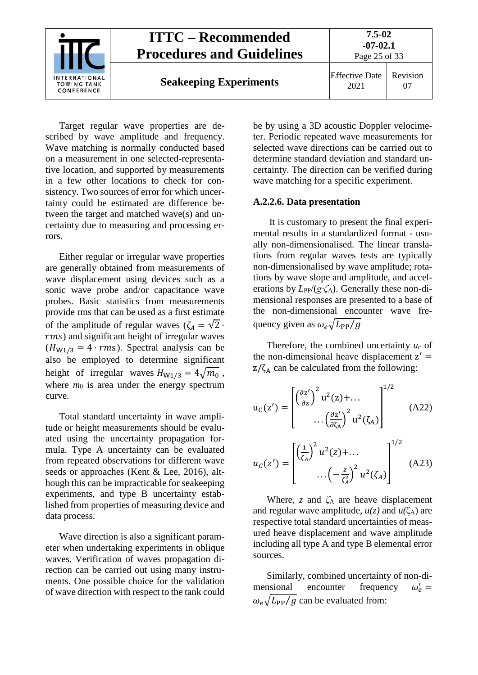

Target regular wave properties are described by wave amplitude and frequency. Wave matching is normally conducted based on a measurement in one selected-representative location, and supported by measurements in a few other locations to check for consistency. Two sources of error for which uncertainty could be estimated are difference between the target and matched wave(s) and uncertainty due to measuring and processing errors.

Either regular or irregular wave properties are generally obtained from measurements of wave displacement using devices such as a sonic wave probe and/or capacitance wave probes. Basic statistics from measurements provide rms that can be used as a first estimate of the amplitude of regular waves  $(\zeta_A = \sqrt{2} \cdot \zeta_A)$ ) and significant height of irregular waves  $(H_{W1/3} = 4 \cdot rms)$ . Spectral analysis can be also be employed to determine significant height of irregular waves  $H_{W1/3} = 4\sqrt{m_0}$ , where  $m_0$  is area under the energy spectrum curve.

Total standard uncertainty in wave amplitude or height measurements should be evaluated using the uncertainty propagation formula. Type A uncertainty can be evaluated from repeated observations for different wave seeds or approaches (Kent & Lee, 2016), although this can be impracticable for seakeeping experiments, and type B uncertainty established from properties of measuring device and data process.

Wave direction is also a significant parameter when undertaking experiments in oblique waves. Verification of waves propagation direction can be carried out using many instruments. One possible choice for the validation of wave direction with respect to the tank could be by using a 3D acoustic Doppler velocimeter. Periodic repeated wave measurements for selected wave directions can be carried out to determine standard deviation and standard uncertainty. The direction can be verified during wave matching for a specific experiment.

#### **A.2.2.6. Data presentation**

It is customary to present the final experimental results in a standardized format - usually non-dimensionalised. The linear translations from regular waves tests are typically non-dimensionalised by wave amplitude; rotations by wave slope and amplitude, and accelerations by  $L_{PP}/(g\cdot\zeta_A)$ . Generally these non-dimensional responses are presented to a base of the non-dimensional encounter wave frequency given as  $\omega_e \sqrt{L_{PP}/g}$ 

Therefore, the combined uncertainty *u*<sup>c</sup> of the non-dimensional heave displacement  $z' =$  $z/\zeta_A$  can be calculated from the following:

$$
u_C(z') = \begin{bmatrix} \left(\frac{\partial z'}{\partial z}\right)^2 u^2(z) + \dots \\ \dots \left(\frac{\partial z'}{\partial \zeta_A}\right)^2 u^2(\zeta_A) \end{bmatrix}^{1/2}
$$
 (A22)

$$
u_C(z') = \begin{bmatrix} \left(\frac{1}{\zeta_A}\right)^2 u^2(z) + \dots \\ \dots \\ \left(-\frac{z}{\zeta_A^2}\right)^2 u^2(\zeta_A) \end{bmatrix}^{1/2}
$$
 (A23)

Where, *z* and *ζ*<sup>A</sup> are heave displacement and regular wave amplitude,  $u(z)$  and  $u(\zeta_A)$  are respective total standard uncertainties of measured heave displacement and wave amplitude including all type A and type B elemental error sources.

Similarly, combined uncertainty of non-dimensional encounter frequency  $\omega'_{\rho} =$  $\omega_e \sqrt{L_{\rm PP}/g}$  can be evaluated from: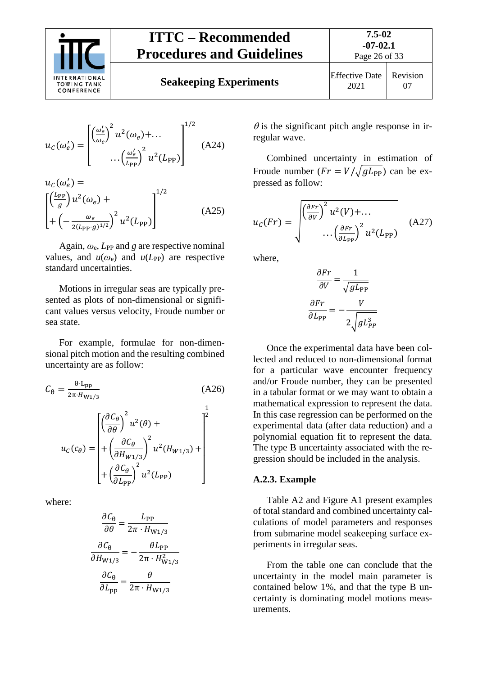

**Seakeeping Experiments** 

$$
\begin{array}{c|c}\n\text{ffective Date} & \text{Revision} \\
\hline\n2021 & 07\n\end{array}
$$

$$
u_C(\omega'_e) = \begin{bmatrix} \left(\frac{\omega'_e}{\omega_e}\right)^2 u^2(\omega_e) + \dots \\ \dots \left(\frac{\omega'_e}{L_{PP}}\right)^2 u^2(L_{PP}) \end{bmatrix}^{1/2}
$$
 (A24)

$$
u_C(\omega_e') = \left[\left(\frac{L_{PP}}{g}\right)u^2(\omega_e) + \left(-\frac{\omega_e}{2(L_{PP}\cdot g)^{1/2}}\right)^2 u^2(L_{PP})\right]^{1/2}
$$
\n(A25)

Again,  $\omega_e$ ,  $L_{PP}$  and *g* are respective nominal values, and  $u(\omega_e)$  and  $u(L_{PP})$  are respective standard uncertainties.

Motions in irregular seas are typically presented as plots of non-dimensional or significant values versus velocity, Froude number or sea state.

For example, formulae for non-dimensional pitch motion and the resulting combined uncertainty are as follow:

$$
C_{\theta} = \frac{\theta \cdot L_{\text{pp}}}{2\pi \cdot H_{\text{W1/3}}} \tag{A26}
$$
\n
$$
u_{C}(c_{\theta}) = \begin{bmatrix} \left(\frac{\partial C_{\theta}}{\partial \theta}\right)^{2} u^{2}(\theta) + \\ + \left(\frac{\partial C_{\theta}}{\partial H_{\text{W1/3}}}\right)^{2} u^{2}(H_{\text{W1/3}}) + \\ + \left(\frac{\partial C_{\theta}}{\partial L_{\text{pp}}}\right)^{2} u^{2}(L_{\text{pp}}) \end{bmatrix}
$$

where:

$$
\frac{\partial C_{\theta}}{\partial \theta} = \frac{L_{PP}}{2\pi \cdot H_{W1/3}}
$$

$$
\frac{\partial C_{\theta}}{\partial H_{W1/3}} = -\frac{\theta L_{PP}}{2\pi \cdot H_{W1/3}^2}
$$

$$
\frac{\partial C_{\theta}}{\partial L_{pp}} = \frac{\theta}{2\pi \cdot H_{W1/3}}
$$

 $\theta$  is the significant pitch angle response in irregular wave.

Combined uncertainty in estimation of Froude number  $(Fr = V/\sqrt{gL_{PP}})$  can be expressed as follow:

$$
u_C(Fr) = \sqrt{\frac{\left(\frac{\partial Fr}{\partial V}\right)^2 u^2(V) + \dots}{\left(\frac{\partial Fr}{\partial L_{PP}}\right)^2 u^2(L_{PP})}}
$$
(A27)

where,

$$
\frac{\partial Fr}{\partial V} = \frac{1}{\sqrt{gL_{PP}}}
$$

$$
\frac{\partial Fr}{\partial L_{PP}} = -\frac{V}{2\sqrt{gL_{PP}^3}}
$$

Once the experimental data have been collected and reduced to non-dimensional format for a particular wave encounter frequency and/or Froude number, they can be presented in a tabular format or we may want to obtain a mathematical expression to represent the data. In this case regression can be performed on the experimental data (after data reduction) and a polynomial equation fit to represent the data. The type B uncertainty associated with the regression should be included in the analysis.

### <span id="page-25-0"></span>**A.2.3. Example**

Table A2 and Figure A1 present examples of total standard and combined uncertainty calculations of model parameters and responses from submarine model seakeeping surface experiments in irregular seas.

From the table one can conclude that the uncertainty in the model main parameter is contained below 1%, and that the type B uncertainty is dominating model motions measurements.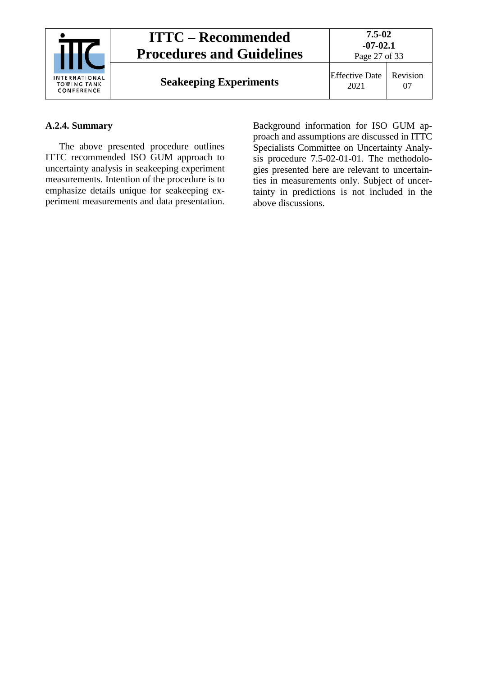| INTERNATIONAL<br><b>TOWING TANK</b><br>CONFERENCE | <b>ITTC – Recommended</b><br><b>Procedures and Guidelines</b> | $7.5 - 02$<br>$-07-02.1$<br>Page 27 of 33 |          |  |
|---------------------------------------------------|---------------------------------------------------------------|-------------------------------------------|----------|--|
|                                                   | <b>Seakeeping Experiments</b>                                 | Effective Date<br>2021                    | Revision |  |

### <span id="page-26-0"></span>**A.2.4. Summary**

The above presented procedure outlines ITTC recommended ISO GUM approach to uncertainty analysis in seakeeping experiment measurements. Intention of the procedure is to emphasize details unique for seakeeping experiment measurements and data presentation.

Background information for ISO GUM approach and assumptions are discussed in ITTC Specialists Committee on Uncertainty Analysis procedure 7.5-02-01-01. The methodologies presented here are relevant to uncertainties in measurements only. Subject of uncertainty in predictions is not included in the above discussions.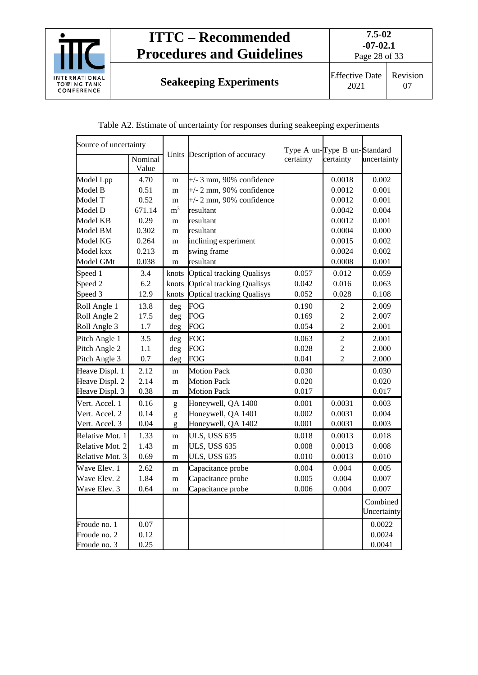

**Seakeeping Experiments** Effective Date

2021 Revision 07

| Table A2. Estimate of uncertainty for responses during seakeeping experiments |  |  |  |
|-------------------------------------------------------------------------------|--|--|--|
|                                                                               |  |  |  |

| Source of uncertainty |                  |                |                                  |           | Type A un-Type B un-Standard |                         |
|-----------------------|------------------|----------------|----------------------------------|-----------|------------------------------|-------------------------|
|                       | Nominal<br>Value |                | Units Description of accuracy    | certainty | certainty                    | uncertainty             |
| Model Lpp             | 4.70             | m              | $+/-$ 3 mm, 90% confidence       |           | 0.0018                       | 0.002                   |
| Model B               | 0.51             | m              | $+/- 2$ mm, 90% confidence       |           | 0.0012                       | 0.001                   |
| Model T               | 0.52             | m              | $+/- 2$ mm, 90% confidence       |           | 0.0012                       | 0.001                   |
| Model D               | 671.14           | m <sup>3</sup> | resultant                        |           | 0.0042                       | 0.004                   |
| Model KB              | 0.29             | m              | resultant                        |           | 0.0012                       | 0.001                   |
| Model BM              | 0.302            | m              | resultant                        |           | 0.0004                       | 0.000                   |
| Model KG              | 0.264            | m              | inclining experiment             |           | 0.0015                       | 0.002                   |
| Model kxx             | 0.213            | m              | swing frame                      |           | 0.0024                       | 0.002                   |
| Model GMt             | 0.038            | m              | resultant                        |           | 0.0008                       | 0.001                   |
| Speed 1               | 3.4              | knots          | <b>Optical tracking Qualisys</b> | 0.057     | 0.012                        | 0.059                   |
| Speed 2               | 6.2              | knots          | <b>Optical tracking Qualisys</b> | 0.042     | 0.016                        | 0.063                   |
| Speed 3               | 12.9             | knots          | <b>Optical tracking Qualisys</b> | 0.052     | 0.028                        | 0.108                   |
| Roll Angle 1          | 13.8             | deg            | <b>FOG</b>                       | 0.190     | $\overline{2}$               | 2.009                   |
| Roll Angle 2          | 17.5             | deg            | <b>FOG</b>                       | 0.169     | $\overline{2}$               | 2.007                   |
| Roll Angle 3          | $1.7\,$          | deg            | <b>FOG</b>                       | 0.054     | $\overline{2}$               | 2.001                   |
| Pitch Angle 1         | 3.5              | deg            | FOG                              | 0.063     | $\overline{2}$               | 2.001                   |
| Pitch Angle 2         | 1.1              | deg            | <b>FOG</b>                       | 0.028     | $\overline{2}$               | 2.000                   |
| Pitch Angle 3         | 0.7              | deg            | <b>FOG</b>                       | 0.041     | $\overline{2}$               | 2.000                   |
| Heave Displ. 1        | 2.12             | m              | <b>Motion Pack</b>               | 0.030     |                              | 0.030                   |
| Heave Displ. 2        | 2.14             | m              | <b>Motion Pack</b>               | 0.020     |                              | 0.020                   |
| Heave Displ. 3        | 0.38             | m              | <b>Motion Pack</b>               | 0.017     |                              | 0.017                   |
| Vert. Accel. 1        | 0.16             | g              | Honeywell, QA 1400               | 0.001     | 0.0031                       | 0.003                   |
| Vert. Accel. 2        | 0.14             | g              | Honeywell, QA 1401               | 0.002     | 0.0031                       | 0.004                   |
| Vert. Accel. 3        | 0.04             | g              | Honeywell, QA 1402               | 0.001     | 0.0031                       | 0.003                   |
| Relative Mot. 1       | 1.33             | m              | <b>ULS, USS 635</b>              | 0.018     | 0.0013                       | 0.018                   |
| Relative Mot. 2       | 1.43             | m              | <b>ULS, USS 635</b>              | 0.008     | 0.0013                       | 0.008                   |
| Relative Mot. 3       | 0.69             | m              | <b>ULS, USS 635</b>              | 0.010     | 0.0013                       | 0.010                   |
| Wave Elev. 1          | 2.62             | m              | Capacitance probe                | 0.004     | 0.004                        | 0.005                   |
| Wave Elev. 2          | 1.84             | m              | Capacitance probe                | 0.005     | 0.004                        | 0.007                   |
| Wave Elev. 3          | 0.64             | m              | Capacitance probe                | 0.006     | 0.004                        | 0.007                   |
|                       |                  |                |                                  |           |                              | Combined<br>Uncertainty |
| Froude no. 1          | 0.07             |                |                                  |           |                              | 0.0022                  |
| Froude no. 2          | 0.12             |                |                                  |           |                              | 0.0024                  |
| Froude no. 3          | 0.25             |                |                                  |           |                              | 0.0041                  |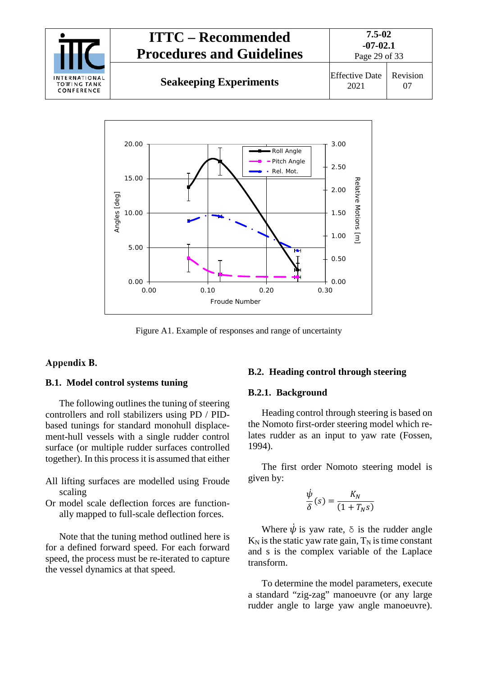



Figure A1. Example of responses and range of uncertainty

### <span id="page-28-1"></span><span id="page-28-0"></span>Appendix B.

### **B.1. Model control systems tuning**

The following outlines the tuning of steering controllers and roll stabilizers using PD / PIDbased tunings for standard monohull displacement-hull vessels with a single rudder control surface (or multiple rudder surfaces controlled together). In this process it is assumed that either

- All lifting surfaces are modelled using Froude scaling
- Or model scale deflection forces are functionally mapped to full-scale deflection forces.

Note that the tuning method outlined here is for a defined forward speed. For each forward speed, the process must be re-iterated to capture the vessel dynamics at that speed.

#### <span id="page-28-3"></span><span id="page-28-2"></span>**B.2. Heading control through steering**

### **B.2.1. Background**

Heading control through steering is based on the Nomoto first-order steering model which relates rudder as an input to yaw rate (Fossen, 1994).

The first order Nomoto steering model is given by:

$$
\frac{\dot{\psi}}{\delta}(s) = \frac{K_N}{(1 + T_N s)}
$$

Where  $\dot{\psi}$  is yaw rate,  $\delta$  is the rudder angle  $K_N$  is the static yaw rate gain,  $T_N$  is time constant and s is the complex variable of the Laplace transform.

To determine the model parameters, execute a standard "zig-zag" manoeuvre (or any large rudder angle to large yaw angle manoeuvre).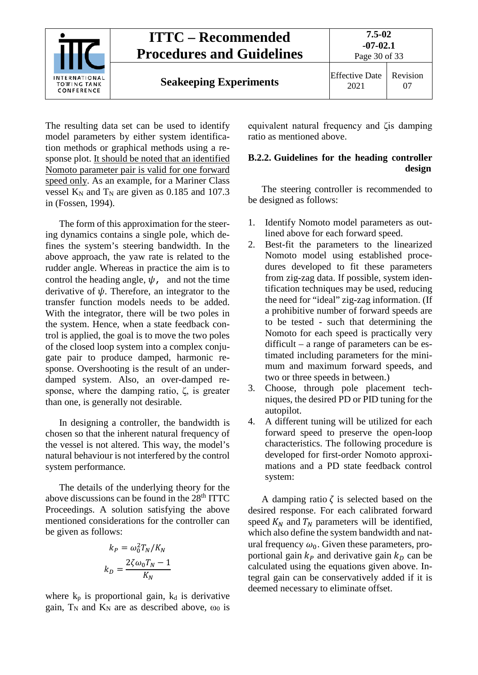

The resulting data set can be used to identify model parameters by either system identification methods or graphical methods using a response plot. It should be noted that an identified Nomoto parameter pair is valid for one forward speed only. As an example, for a Mariner Class vessel  $K_N$  and  $T_N$  are given as 0.185 and 107.3 in (Fossen, 1994).

The form of this approximation for the steering dynamics contains a single pole, which defines the system's steering bandwidth. In the above approach, the yaw rate is related to the rudder angle. Whereas in practice the aim is to control the heading angle,  $\psi$ , and not the time derivative of  $\psi$ . Therefore, an integrator to the transfer function models needs to be added. With the integrator, there will be two poles in the system. Hence, when a state feedback control is applied, the goal is to move the two poles of the closed loop system into a complex conjugate pair to produce damped, harmonic response. Overshooting is the result of an underdamped system. Also, an over-damped response, where the damping ratio, ζ, is greater than one, is generally not desirable.

In designing a controller, the bandwidth is chosen so that the inherent natural frequency of the vessel is not altered. This way, the model's natural behaviour is not interfered by the control system performance.

The details of the underlying theory for the above discussions can be found in the 28<sup>th</sup> ITTC Proceedings. A solution satisfying the above mentioned considerations for the controller can be given as follows:

$$
k_P = \omega_0^2 T_N / K_N
$$

$$
k_D = \frac{2\zeta \omega_0 T_N - 1}{K_N}
$$

where  $k_p$  is proportional gain,  $k_d$  is derivative gain,  $T_N$  and  $K_N$  are as described above,  $\omega_0$  is

equivalent natural frequency and ζis damping ratio as mentioned above.

### <span id="page-29-0"></span>**B.2.2. Guidelines for the heading controller design**

The steering controller is recommended to be designed as follows:

- 1. Identify Nomoto model parameters as outlined above for each forward speed.
- 2. Best-fit the parameters to the linearized Nomoto model using established procedures developed to fit these parameters from zig-zag data. If possible, system identification techniques may be used, reducing the need for "ideal" zig-zag information. (If a prohibitive number of forward speeds are to be tested - such that determining the Nomoto for each speed is practically very difficult – a range of parameters can be estimated including parameters for the minimum and maximum forward speeds, and two or three speeds in between.)
- 3. Choose, through pole placement techniques, the desired PD or PID tuning for the autopilot.
- 4. A different tuning will be utilized for each forward speed to preserve the open-loop characteristics. The following procedure is developed for first-order Nomoto approximations and a PD state feedback control system:

A damping ratio  $\zeta$  is selected based on the desired response. For each calibrated forward speed  $K_N$  and  $T_N$  parameters will be identified, which also define the system bandwidth and natural frequency  $\omega_0$ . Given these parameters, proportional gain  $k_p$  and derivative gain  $k_p$  can be calculated using the equations given above. Integral gain can be conservatively added if it is deemed necessary to eliminate offset.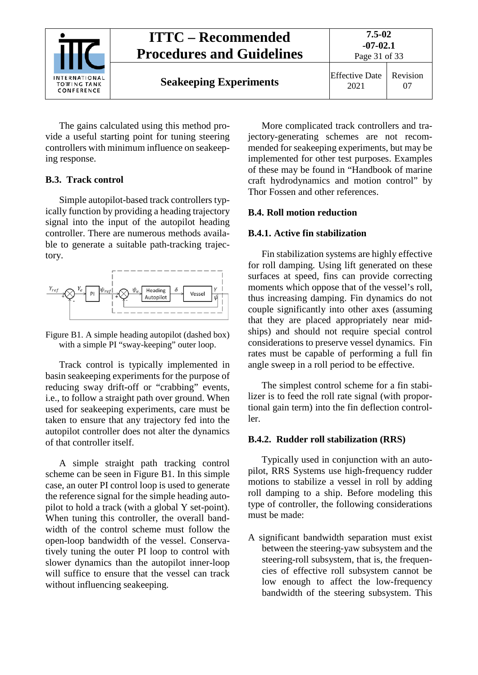

The gains calculated using this method provide a useful starting point for tuning steering controllers with minimum influence on seakeeping response.

### <span id="page-30-0"></span>**B.3. Track control**

Simple autopilot-based track controllers typically function by providing a heading trajectory signal into the input of the autopilot heading controller. There are numerous methods available to generate a suitable path-tracking trajectory.



Figure B1. A simple heading autopilot (dashed box) with a simple PI "sway-keeping" outer loop.

Track control is typically implemented in basin seakeeping experiments for the purpose of reducing sway drift-off or "crabbing" events, i.e., to follow a straight path over ground. When used for seakeeping experiments, care must be taken to ensure that any trajectory fed into the autopilot controller does not alter the dynamics of that controller itself.

A simple straight path tracking control scheme can be seen in Figure B1. In this simple case, an outer PI control loop is used to generate the reference signal for the simple heading autopilot to hold a track (with a global Y set-point). When tuning this controller, the overall bandwidth of the control scheme must follow the open-loop bandwidth of the vessel. Conservatively tuning the outer PI loop to control with slower dynamics than the autopilot inner-loop will suffice to ensure that the vessel can track without influencing seakeeping.

More complicated track controllers and trajectory-generating schemes are not recommended for seakeeping experiments, but may be implemented for other test purposes. Examples of these may be found in "Handbook of marine craft hydrodynamics and motion control" by Thor Fossen and other references.

## <span id="page-30-1"></span>**B.4. Roll motion reduction**

## <span id="page-30-2"></span>**B.4.1. Active fin stabilization**

Fin stabilization systems are highly effective for roll damping. Using lift generated on these surfaces at speed, fins can provide correcting moments which oppose that of the vessel's roll, thus increasing damping. Fin dynamics do not couple significantly into other axes (assuming that they are placed appropriately near midships) and should not require special control considerations to preserve vessel dynamics. Fin rates must be capable of performing a full fin angle sweep in a roll period to be effective.

The simplest control scheme for a fin stabilizer is to feed the roll rate signal (with proportional gain term) into the fin deflection controller.

### <span id="page-30-3"></span>**B.4.2. Rudder roll stabilization (RRS)**

Typically used in conjunction with an autopilot, RRS Systems use high-frequency rudder motions to stabilize a vessel in roll by adding roll damping to a ship. Before modeling this type of controller, the following considerations must be made:

A significant bandwidth separation must exist between the steering-yaw subsystem and the steering-roll subsystem, that is, the frequencies of effective roll subsystem cannot be low enough to affect the low-frequency bandwidth of the steering subsystem. This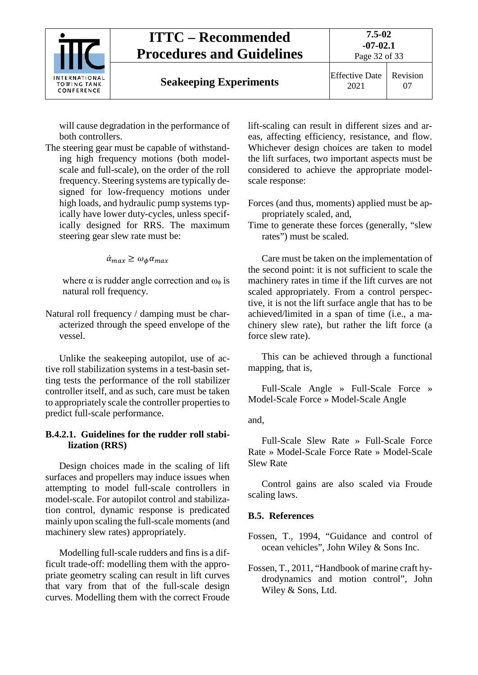

**Seakeeping Experiments** Effective Date

will cause degradation in the performance of both controllers.

The steering gear must be capable of withstanding high frequency motions (both modelscale and full-scale), on the order of the roll frequency. Steering systems are typically designed for low-frequency motions under high loads, and hydraulic pump systems typically have lower duty-cycles, unless specifically designed for RRS. The maximum steering gear slew rate must be:

 $\alpha_{max} \geq \omega_{\phi} \alpha_m$ 

where  $\alpha$  is rudder angle correction and  $\omega_{\phi}$  is natural roll frequency.

Natural roll frequency / damping must be characterized through the speed envelope of the vessel.

Unlike the seakeeping autopilot, use of active roll stabilization systems in a test-basin setting tests the performance of the roll stabilizer controller itself, and as such, care must be taken to appropriately scale the controller properties to predict full-scale performance.

### **B.4.2.1. Guidelines for the rudder roll stabilization (RRS)**

Design choices made in the scaling of lift surfaces and propellers may induce issues when attempting to model full-scale controllers in model-scale. For autopilot control and stabilization control, dynamic response is predicated mainly upon scaling the full-scale moments (and machinery slew rates) appropriately.

Modelling full-scale rudders and fins is a difficult trade-off: modelling them with the appropriate geometry scaling can result in lift curves that vary from that of the full-scale design curves. Modelling them with the correct Froude lift-scaling can result in different sizes and areas, affecting efficiency, resistance, and flow. Whichever design choices are taken to model the lift surfaces, two important aspects must be considered to achieve the appropriate modelscale response:

- Forces (and thus, moments) applied must be appropriately scaled, and,
- Time to generate these forces (generally, "slew rates") must be scaled.

Care must be taken on the implementation of the second point: it is not sufficient to scale the machinery rates in time if the lift curves are not scaled appropriately. From a control perspective, it is not the lift surface angle that has to be achieved/limited in a span of time (i.e., a machinery slew rate), but rather the lift force (a force slew rate).

This can be achieved through a functional mapping, that is,

Full-Scale Angle » Full-Scale Force » Model-Scale Force » Model-Scale Angle

and,

Full-Scale Slew Rate » Full-Scale Force Rate » Model-Scale Force Rate » Model-Scale Slew Rate

Control gains are also scaled via Froude scaling laws.

### <span id="page-31-0"></span>**B.5. References**

Fossen, T., 1994, "Guidance and control of ocean vehicles", John Wiley & Sons Inc.

Fossen, T., 2011, "Handbook of marine craft hydrodynamics and motion control", John Wiley & Sons, Ltd.